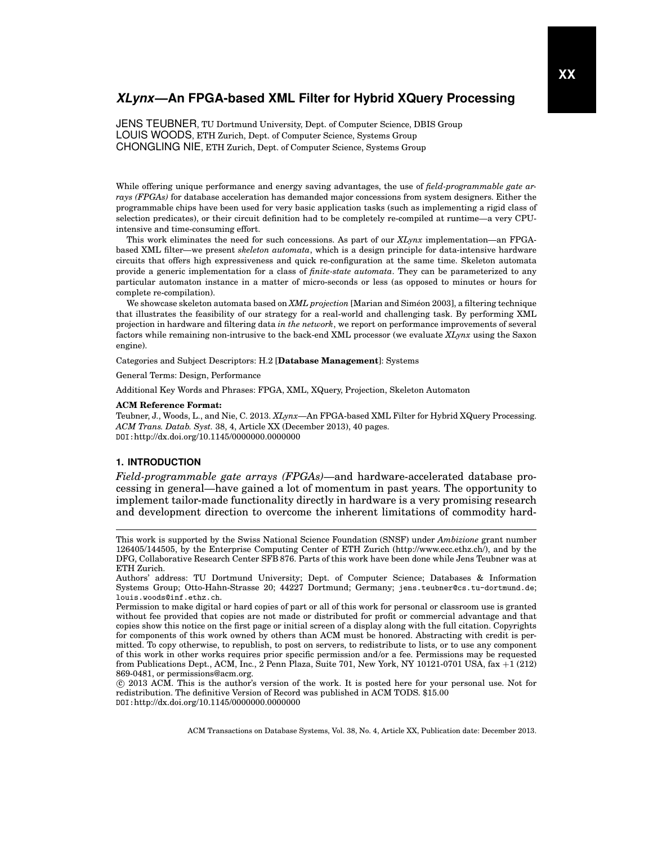JENS TEUBNER, TU Dortmund University, Dept. of Computer Science, DBIS Group LOUIS WOODS, ETH Zurich, Dept. of Computer Science, Systems Group CHONGLING NIE, ETH Zurich, Dept. of Computer Science, Systems Group

While offering unique performance and energy saving advantages, the use of *field-programmable gate arrays (FPGAs)* for database acceleration has demanded major concessions from system designers. Either the programmable chips have been used for very basic application tasks (such as implementing a rigid class of selection predicates), or their circuit definition had to be completely re-compiled at runtime—a very CPUintensive and time-consuming effort.

This work eliminates the need for such concessions. As part of our *XLynx* implementation—an FPGAbased XML filter—we present *skeleton automata*, which is a design principle for data-intensive hardware circuits that offers high expressiveness and quick re-configuration at the same time. Skeleton automata provide a generic implementation for a class of *finite-state automata*. They can be parameterized to any particular automaton instance in a matter of micro-seconds or less (as opposed to minutes or hours for complete re-compilation).

We showcase skeleton automata based on *XML projection* [Marian and Simeon 2003], a filtering technique ´ that illustrates the feasibility of our strategy for a real-world and challenging task. By performing XML projection in hardware and filtering data *in the network*, we report on performance improvements of several factors while remaining non-intrusive to the back-end XML processor (we evaluate *XLynx* using the Saxon engine).

Categories and Subject Descriptors: H.2 [**Database Management**]: Systems

General Terms: Design, Performance

Additional Key Words and Phrases: FPGA, XML, XQuery, Projection, Skeleton Automaton

#### **ACM Reference Format:**

Teubner, J., Woods, L., and Nie, C. 2013. *XLynx*—An FPGA-based XML Filter for Hybrid XQuery Processing. *ACM Trans. Datab. Syst.* 38, 4, Article XX (December 2013), 40 pages. DOI:http://dx.doi.org/10.1145/0000000.0000000

# **1. INTRODUCTION**

*Field-programmable gate arrays (FPGAs)*—and hardware-accelerated database processing in general—have gained a lot of momentum in past years. The opportunity to implement tailor-made functionality directly in hardware is a very promising research and development direction to overcome the inherent limitations of commodity hard-

 c 2013 ACM. This is the author's version of the work. It is posted here for your personal use. Not for redistribution. The definitive Version of Record was published in ACM TODS. \$15.00 DOI:http://dx.doi.org/10.1145/0000000.0000000

This work is supported by the Swiss National Science Foundation (SNSF) under *Ambizione* grant number 126405/144505, by the Enterprise Computing Center of ETH Zurich (http://www.ecc.ethz.ch/), and by the DFG, Collaborative Research Center SFB 876. Parts of this work have been done while Jens Teubner was at ETH Zurich.

Authors' address: TU Dortmund University; Dept. of Computer Science; Databases & Information Systems Group; Otto-Hahn-Strasse 20; 44227 Dortmund; Germany; jens.teubner@cs.tu-dortmund.de; louis.woods@inf.ethz.ch.

Permission to make digital or hard copies of part or all of this work for personal or classroom use is granted without fee provided that copies are not made or distributed for profit or commercial advantage and that copies show this notice on the first page or initial screen of a display along with the full citation. Copyrights for components of this work owned by others than ACM must be honored. Abstracting with credit is permitted. To copy otherwise, to republish, to post on servers, to redistribute to lists, or to use any component of this work in other works requires prior specific permission and/or a fee. Permissions may be requested from Publications Dept., ACM, Inc., 2 Penn Plaza, Suite 701, New York, NY 10121-0701 USA, fax +1 (212) 869-0481, or permissions@acm.org.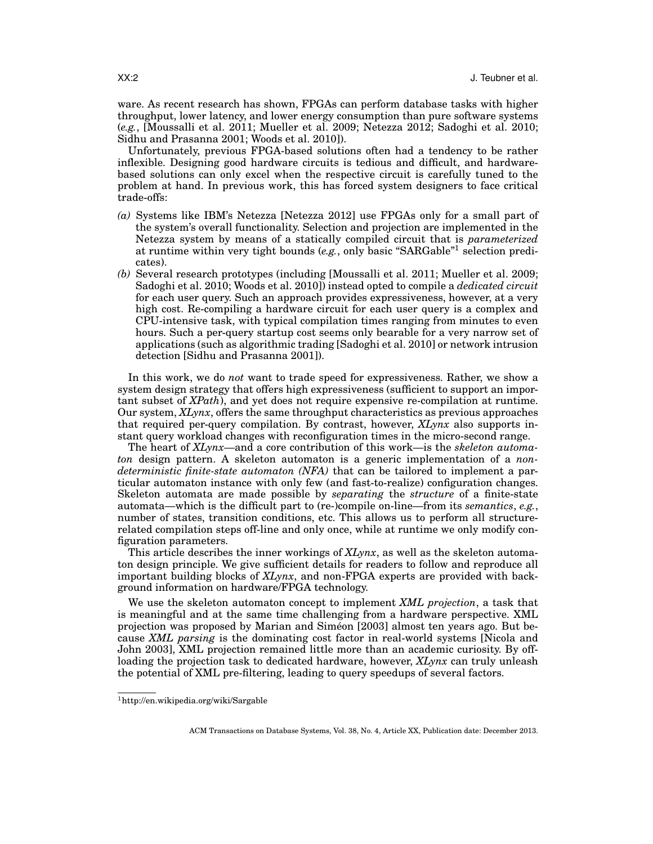ware. As recent research has shown, FPGAs can perform database tasks with higher throughput, lower latency, and lower energy consumption than pure software systems (*e.g.*, [Moussalli et al. 2011; Mueller et al. 2009; Netezza 2012; Sadoghi et al. 2010; Sidhu and Prasanna 2001; Woods et al. 2010]).

Unfortunately, previous FPGA-based solutions often had a tendency to be rather inflexible. Designing good hardware circuits is tedious and difficult, and hardwarebased solutions can only excel when the respective circuit is carefully tuned to the problem at hand. In previous work, this has forced system designers to face critical trade-offs:

- *(a)* Systems like IBM's Netezza [Netezza 2012] use FPGAs only for a small part of the system's overall functionality. Selection and projection are implemented in the Netezza system by means of a statically compiled circuit that is *parameterized* at runtime within very tight bounds (*e.g.*, only basic "SARGable"<sup>1</sup> selection predicates).
- *(b)* Several research prototypes (including [Moussalli et al. 2011; Mueller et al. 2009; Sadoghi et al. 2010; Woods et al. 2010]) instead opted to compile a *dedicated circuit* for each user query. Such an approach provides expressiveness, however, at a very high cost. Re-compiling a hardware circuit for each user query is a complex and CPU-intensive task, with typical compilation times ranging from minutes to even hours. Such a per-query startup cost seems only bearable for a very narrow set of applications (such as algorithmic trading [Sadoghi et al. 2010] or network intrusion detection [Sidhu and Prasanna 2001]).

In this work, we do *not* want to trade speed for expressiveness. Rather, we show a system design strategy that offers high expressiveness (sufficient to support an important subset of *XPath*), and yet does not require expensive re-compilation at runtime. Our system, *XLynx*, offers the same throughput characteristics as previous approaches that required per-query compilation. By contrast, however, *XLynx* also supports instant query workload changes with reconfiguration times in the micro-second range.

The heart of *XLynx*—and a core contribution of this work—is the *skeleton automaton* design pattern. A skeleton automaton is a generic implementation of a *nondeterministic finite-state automaton (NFA)* that can be tailored to implement a particular automaton instance with only few (and fast-to-realize) configuration changes. Skeleton automata are made possible by *separating* the *structure* of a finite-state automata—which is the difficult part to (re-)compile on-line—from its *semantics*, *e.g.*, number of states, transition conditions, etc. This allows us to perform all structurerelated compilation steps off-line and only once, while at runtime we only modify configuration parameters.

This article describes the inner workings of *XLynx*, as well as the skeleton automaton design principle. We give sufficient details for readers to follow and reproduce all important building blocks of *XLynx*, and non-FPGA experts are provided with background information on hardware/FPGA technology.

We use the skeleton automaton concept to implement *XML projection*, a task that is meaningful and at the same time challenging from a hardware perspective. XML projection was proposed by Marian and Simeon [2003] almost ten years ago. But be- ´ cause *XML parsing* is the dominating cost factor in real-world systems [Nicola and John 2003], XML projection remained little more than an academic curiosity. By offloading the projection task to dedicated hardware, however, *XLynx* can truly unleash the potential of XML pre-filtering, leading to query speedups of several factors.

<sup>1</sup>http://en.wikipedia.org/wiki/Sargable

ACM Transactions on Database Systems, Vol. 38, No. 4, Article XX, Publication date: December 2013.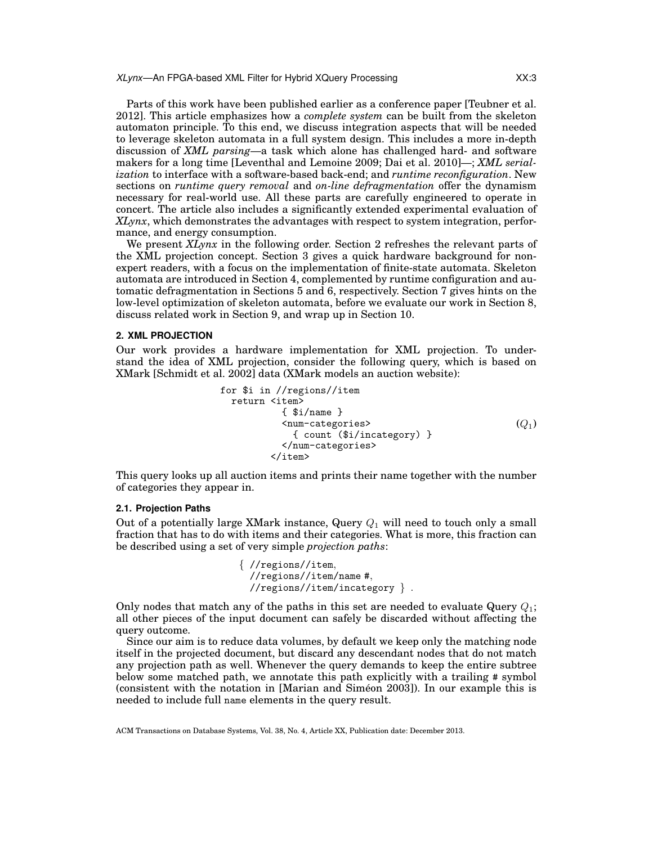Parts of this work have been published earlier as a conference paper [Teubner et al. 2012]. This article emphasizes how a *complete system* can be built from the skeleton automaton principle. To this end, we discuss integration aspects that will be needed to leverage skeleton automata in a full system design. This includes a more in-depth discussion of *XML parsing*—a task which alone has challenged hard- and software makers for a long time [Leventhal and Lemoine 2009; Dai et al. 2010]—; *XML serialization* to interface with a software-based back-end; and *runtime reconfiguration*. New sections on *runtime query removal* and *on-line defragmentation* offer the dynamism necessary for real-world use. All these parts are carefully engineered to operate in concert. The article also includes a significantly extended experimental evaluation of *XLynx*, which demonstrates the advantages with respect to system integration, performance, and energy consumption.

We present *XLynx* in the following order. Section 2 refreshes the relevant parts of the XML projection concept. Section 3 gives a quick hardware background for nonexpert readers, with a focus on the implementation of finite-state automata. Skeleton automata are introduced in Section 4, complemented by runtime configuration and automatic defragmentation in Sections 5 and 6, respectively. Section 7 gives hints on the low-level optimization of skeleton automata, before we evaluate our work in Section 8, discuss related work in Section 9, and wrap up in Section 10.

## **2. XML PROJECTION**

Our work provides a hardware implementation for XML projection. To understand the idea of XML projection, consider the following query, which is based on XMark [Schmidt et al. 2002] data (XMark models an auction website):

for \$i in //regions//item return <item> { \$i/name } <num-categories> { count (\$i/incategory) } </num-categories> </item> (Q1)

This query looks up all auction items and prints their name together with the number of categories they appear in.

# **2.1. Projection Paths**

Out of a potentially large XMark instance, Query  $Q_1$  will need to touch only a small fraction that has to do with items and their categories. What is more, this fraction can be described using a set of very simple *projection paths*:

> { //regions//item, //regions//item/name #, //regions//item/incategory } .

Only nodes that match any of the paths in this set are needed to evaluate Query  $Q_1$ ; all other pieces of the input document can safely be discarded without affecting the query outcome.

Since our aim is to reduce data volumes, by default we keep only the matching node itself in the projected document, but discard any descendant nodes that do not match any projection path as well. Whenever the query demands to keep the entire subtree below some matched path, we annotate this path explicitly with a trailing # symbol (consistent with the notation in [Marian and Simeon 2003]). In our example this is ´ needed to include full name elements in the query result.

ACM Transactions on Database Systems, Vol. 38, No. 4, Article XX, Publication date: December 2013.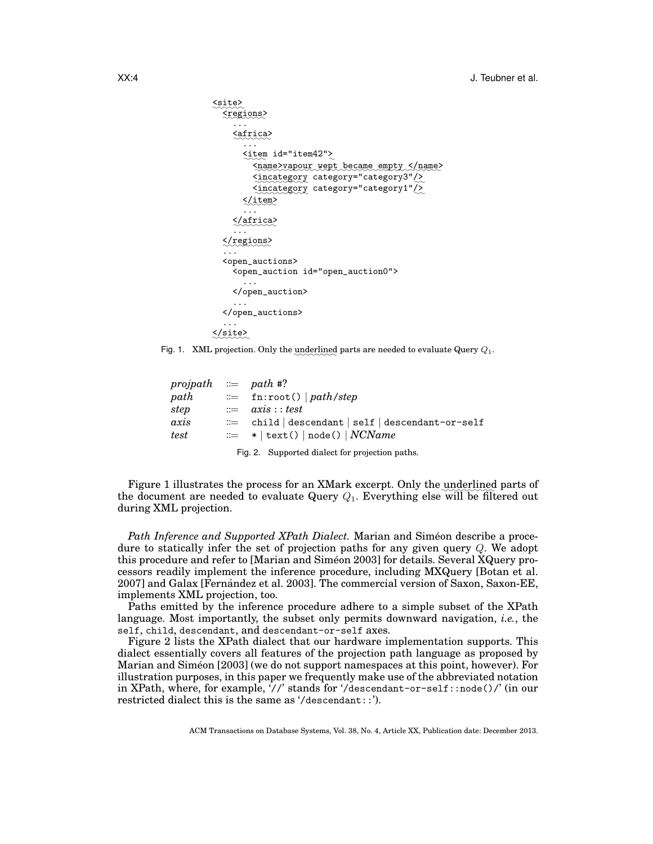```
✿✿✿✿✿✿
<site>
  ✿✿✿✿✿✿✿✿
<regions>
     ...
     ✿✿✿✿✿✿✿
<africa>
       ...
       \leqitem id="item42"\geq<name>vapour wept became empty </name>
          <incategory category="category3" <a>
          <incategory category="category1" />
       ✿✿✿✿✿✿
</item>
       ...
     ✿✿✿✿✿✿✿✿
</africa>
     ...
  ✿✿✿✿✿✿✿✿✿
</regions>
  ...
  <open_auctions>
     <open_auction id="open_auction0">
       ...
     </open_auction>
     ...
  </open_auctions>
  ...
✿✿✿✿✿✿✿
</site>
```
Fig. 1. XML projection. Only the underlined parts are needed to evaluate Query  $Q_1$ .

| projpath $\equiv$ path #? |                                                   |
|---------------------------|---------------------------------------------------|
| path                      | $\equiv$ fn:root()   path/step                    |
| step                      | $\dddot{z} = a \dot{x} \dot{s} :: test$           |
| axis                      | $\equiv$ child descendant self descendant-or-self |
| test                      | $\equiv$ *   text()   node()   NCName             |
|                           | Fig. 2. Supported dialect for projection paths.   |

Figure 1 illustrates the process for an XMark excerpt. Only the underlined parts of the document are needed to evaluate Query  $Q_1$ . Everything else will be filtered out during XML projection.

*Path Inference and Supported XPath Dialect.* Marian and Siméon describe a procedure to statically infer the set of projection paths for any given query Q. We adopt this procedure and refer to [Marian and Simeon 2003] for details. Several XQuery processors readily implement the inference procedure, including MXQuery [Botan et al. 2007] and Galax [Fernández et al. 2003]. The commercial version of Saxon, Saxon-EE, implements XML projection, too.

Paths emitted by the inference procedure adhere to a simple subset of the XPath language. Most importantly, the subset only permits downward navigation, *i.e.*, the self, child, descendant, and descendant-or-self axes.

Figure 2 lists the XPath dialect that our hardware implementation supports. This dialect essentially covers all features of the projection path language as proposed by Marian and Simeon [2003] (we do not support namespaces at this point, however). For ´ illustration purposes, in this paper we frequently make use of the abbreviated notation in XPath, where, for example, '//' stands for '/descendant-or-self::node()/' (in our restricted dialect this is the same as '/descendant::').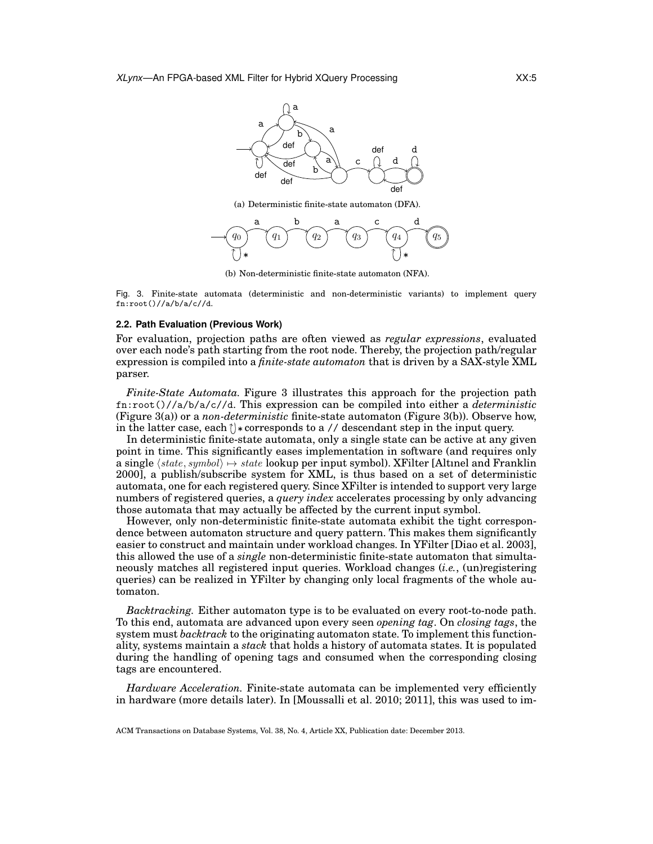

(a) Deterministic finite-state automaton (DFA).



(b) Non-deterministic finite-state automaton (NFA).

Fig. 3. Finite-state automata (deterministic and non-deterministic variants) to implement query fn:root()//a/b/a/c//d.

#### **2.2. Path Evaluation (Previous Work)**

For evaluation, projection paths are often viewed as *regular expressions*, evaluated over each node's path starting from the root node. Thereby, the projection path/regular expression is compiled into a *finite-state automaton* that is driven by a SAX-style XML parser.

*Finite-State Automata.* Figure 3 illustrates this approach for the projection path fn:root()//a/b/a/c//d. This expression can be compiled into either a *deterministic* (Figure 3(a)) or a *non-deterministic* finite-state automaton (Figure 3(b)). Observe how, in the latter case, each  $\uparrow$  \* corresponds to a // descendant step in the input query.

In deterministic finite-state automata, only a single state can be active at any given point in time. This significantly eases implementation in software (and requires only a single  $\langle state, symbol \rangle \rightarrow state$  lookup per input symbol). XFilter [Altınel and Franklin 2000], a publish/subscribe system for XML, is thus based on a set of deterministic automata, one for each registered query. Since XFilter is intended to support very large numbers of registered queries, a *query index* accelerates processing by only advancing those automata that may actually be affected by the current input symbol.

However, only non-deterministic finite-state automata exhibit the tight correspondence between automaton structure and query pattern. This makes them significantly easier to construct and maintain under workload changes. In YFilter [Diao et al. 2003], this allowed the use of a *single* non-deterministic finite-state automaton that simultaneously matches all registered input queries. Workload changes (*i.e.*, (un)registering queries) can be realized in YFilter by changing only local fragments of the whole automaton.

*Backtracking.* Either automaton type is to be evaluated on every root-to-node path. To this end, automata are advanced upon every seen *opening tag*. On *closing tags*, the system must *backtrack* to the originating automaton state. To implement this functionality, systems maintain a *stack* that holds a history of automata states. It is populated during the handling of opening tags and consumed when the corresponding closing tags are encountered.

*Hardware Acceleration.* Finite-state automata can be implemented very efficiently in hardware (more details later). In [Moussalli et al. 2010; 2011], this was used to im-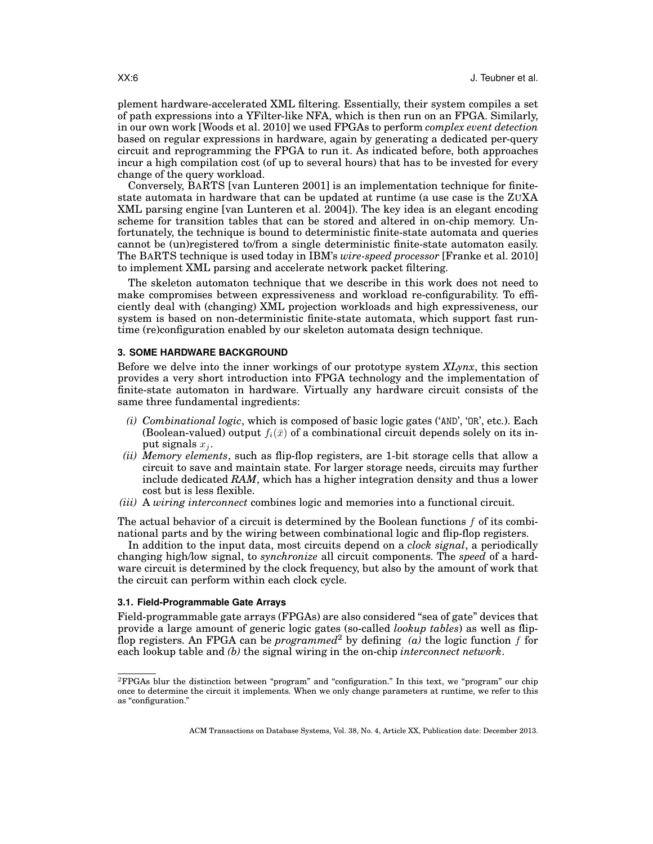plement hardware-accelerated XML filtering. Essentially, their system compiles a set of path expressions into a YFilter-like NFA, which is then run on an FPGA. Similarly, in our own work [Woods et al. 2010] we used FPGAs to perform *complex event detection* based on regular expressions in hardware, again by generating a dedicated per-query circuit and reprogramming the FPGA to run it. As indicated before, both approaches incur a high compilation cost (of up to several hours) that has to be invested for every change of the query workload.

Conversely, BARTS [van Lunteren 2001] is an implementation technique for finitestate automata in hardware that can be updated at runtime (a use case is the ZUXA XML parsing engine [van Lunteren et al. 2004]). The key idea is an elegant encoding scheme for transition tables that can be stored and altered in on-chip memory. Unfortunately, the technique is bound to deterministic finite-state automata and queries cannot be (un)registered to/from a single deterministic finite-state automaton easily. The BARTS technique is used today in IBM's *wire-speed processor* [Franke et al. 2010] to implement XML parsing and accelerate network packet filtering.

The skeleton automaton technique that we describe in this work does not need to make compromises between expressiveness and workload re-configurability. To efficiently deal with (changing) XML projection workloads and high expressiveness, our system is based on non-deterministic finite-state automata, which support fast runtime (re)configuration enabled by our skeleton automata design technique.

# **3. SOME HARDWARE BACKGROUND**

Before we delve into the inner workings of our prototype system *XLynx*, this section provides a very short introduction into FPGA technology and the implementation of finite-state automaton in hardware. Virtually any hardware circuit consists of the same three fundamental ingredients:

- *(i) Combinational logic*, which is composed of basic logic gates ('AND', 'OR', etc.). Each (Boolean-valued) output  $f_i(\bar{x})$  of a combinational circuit depends solely on its input signals  $x_i$ .
- *(ii) Memory elements*, such as flip-flop registers, are 1-bit storage cells that allow a circuit to save and maintain state. For larger storage needs, circuits may further include dedicated *RAM*, which has a higher integration density and thus a lower cost but is less flexible.
- *(iii)* A *wiring interconnect* combines logic and memories into a functional circuit.

The actual behavior of a circuit is determined by the Boolean functions  $f$  of its combinational parts and by the wiring between combinational logic and flip-flop registers.

In addition to the input data, most circuits depend on a *clock signal*, a periodically changing high/low signal, to *synchronize* all circuit components. The *speed* of a hardware circuit is determined by the clock frequency, but also by the amount of work that the circuit can perform within each clock cycle.

# **3.1. Field-Programmable Gate Arrays**

Field-programmable gate arrays (FPGAs) are also considered "sea of gate" devices that provide a large amount of generic logic gates (so-called *lookup tables*) as well as flipflop registers. An FPGA can be *programmed*<sup>2</sup> by defining  $(a)$  the logic function f for each lookup table and *(b)* the signal wiring in the on-chip *interconnect network*.

 ${}^{2}$ FPGAs blur the distinction between "program" and "configuration." In this text, we "program" our chip once to determine the circuit it implements. When we only change parameters at runtime, we refer to this as "configuration."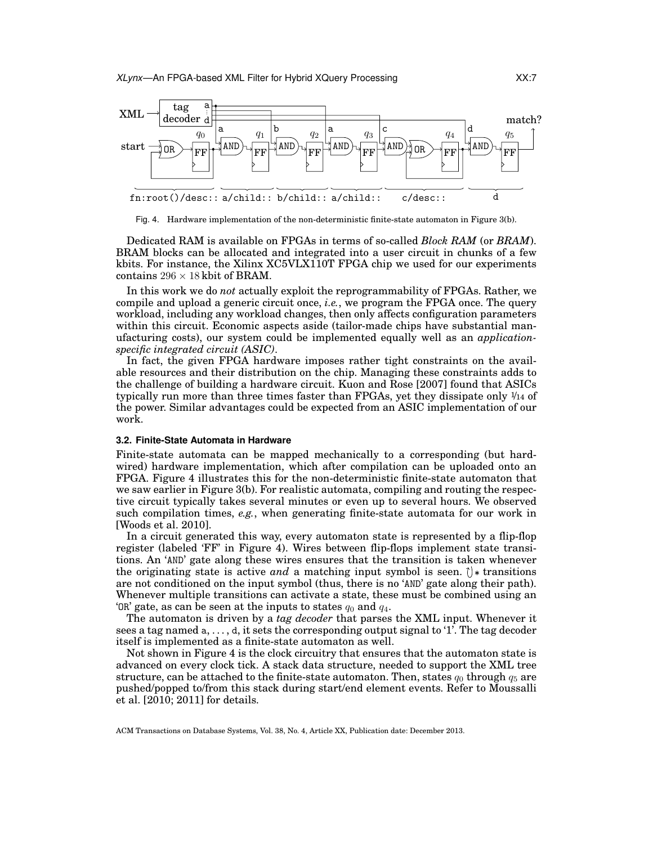

Fig. 4. Hardware implementation of the non-deterministic finite-state automaton in Figure 3(b).

Dedicated RAM is available on FPGAs in terms of so-called *Block RAM* (or *BRAM*). BRAM blocks can be allocated and integrated into a user circuit in chunks of a few kbits. For instance, the Xilinx XC5VLX110T FPGA chip we used for our experiments contains  $296 \times 18$  kbit of BRAM.

In this work we do *not* actually exploit the reprogrammability of FPGAs. Rather, we compile and upload a generic circuit once, *i.e.*, we program the FPGA once. The query workload, including any workload changes, then only affects configuration parameters within this circuit. Economic aspects aside (tailor-made chips have substantial manufacturing costs), our system could be implemented equally well as an *applicationspecific integrated circuit (ASIC)*.

In fact, the given FPGA hardware imposes rather tight constraints on the available resources and their distribution on the chip. Managing these constraints adds to the challenge of building a hardware circuit. Kuon and Rose [2007] found that ASICs typically run more than three times faster than FPGAs, yet they dissipate only  $\mathcal{V}_{14}$  of the power. Similar advantages could be expected from an ASIC implementation of our work.

#### **3.2. Finite-State Automata in Hardware**

Finite-state automata can be mapped mechanically to a corresponding (but hardwired) hardware implementation, which after compilation can be uploaded onto an FPGA. Figure 4 illustrates this for the non-deterministic finite-state automaton that we saw earlier in Figure 3(b). For realistic automata, compiling and routing the respective circuit typically takes several minutes or even up to several hours. We observed such compilation times, *e.g.*, when generating finite-state automata for our work in [Woods et al. 2010].

In a circuit generated this way, every automaton state is represented by a flip-flop register (labeled 'FF' in Figure 4). Wires between flip-flops implement state transitions. An 'AND' gate along these wires ensures that the transition is taken whenever the originating state is active *and* a matching input symbol is seen.  $\uparrow$  transitions are not conditioned on the input symbol (thus, there is no 'AND' gate along their path). Whenever multiple transitions can activate a state, these must be combined using an 'OR' gate, as can be seen at the inputs to states  $q_0$  and  $q_4$ .

The automaton is driven by a *tag decoder* that parses the XML input. Whenever it sees a tag named a, . . . , d, it sets the corresponding output signal to '1'. The tag decoder itself is implemented as a finite-state automaton as well.

Not shown in Figure 4 is the clock circuitry that ensures that the automaton state is advanced on every clock tick. A stack data structure, needed to support the XML tree structure, can be attached to the finite-state automaton. Then, states  $q_0$  through  $q_5$  are pushed/popped to/from this stack during start/end element events. Refer to Moussalli et al. [2010; 2011] for details.

ACM Transactions on Database Systems, Vol. 38, No. 4, Article XX, Publication date: December 2013.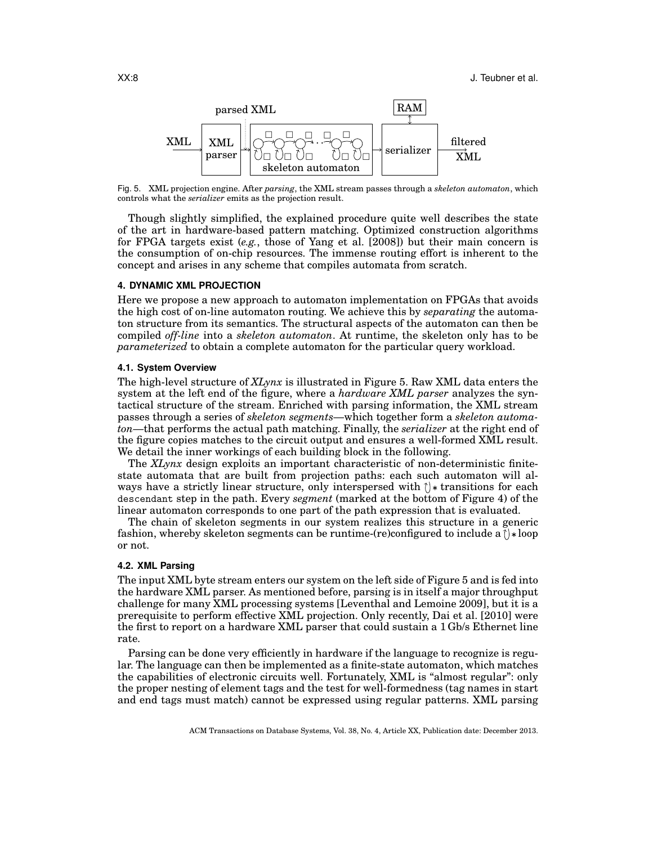

Fig. 5. XML projection engine. After *parsing*, the XML stream passes through a *skeleton automaton*, which controls what the *serializer* emits as the projection result.

Though slightly simplified, the explained procedure quite well describes the state of the art in hardware-based pattern matching. Optimized construction algorithms for FPGA targets exist (*e.g.*, those of Yang et al. [2008]) but their main concern is the consumption of on-chip resources. The immense routing effort is inherent to the concept and arises in any scheme that compiles automata from scratch.

#### **4. DYNAMIC XML PROJECTION**

Here we propose a new approach to automaton implementation on FPGAs that avoids the high cost of on-line automaton routing. We achieve this by *separating* the automaton structure from its semantics. The structural aspects of the automaton can then be compiled *off-line* into a *skeleton automaton*. At runtime, the skeleton only has to be *parameterized* to obtain a complete automaton for the particular query workload.

## **4.1. System Overview**

The high-level structure of *XLynx* is illustrated in Figure 5. Raw XML data enters the system at the left end of the figure, where a *hardware XML parser* analyzes the syntactical structure of the stream. Enriched with parsing information, the XML stream passes through a series of *skeleton segments*—which together form a *skeleton automaton*—that performs the actual path matching. Finally, the *serializer* at the right end of the figure copies matches to the circuit output and ensures a well-formed XML result. We detail the inner workings of each building block in the following.

The *XLynx* design exploits an important characteristic of non-deterministic finitestate automata that are built from projection paths: each such automaton will always have a strictly linear structure, only interspersed with  $\uparrow$  transitions for each descendant step in the path. Every *segment* (marked at the bottom of Figure 4) of the linear automaton corresponds to one part of the path expression that is evaluated.

The chain of skeleton segments in our system realizes this structure in a generic fashion, whereby skeleton segments can be runtime-(re)configured to include a  $\uparrow$  \*loop or not.

# **4.2. XML Parsing**

The input XML byte stream enters our system on the left side of Figure 5 and is fed into the hardware XML parser. As mentioned before, parsing is in itself a major throughput challenge for many XML processing systems [Leventhal and Lemoine 2009], but it is a prerequisite to perform effective XML projection. Only recently, Dai et al. [2010] were the first to report on a hardware XML parser that could sustain a 1 Gb/s Ethernet line rate.

Parsing can be done very efficiently in hardware if the language to recognize is regular. The language can then be implemented as a finite-state automaton, which matches the capabilities of electronic circuits well. Fortunately, XML is "almost regular": only the proper nesting of element tags and the test for well-formedness (tag names in start and end tags must match) cannot be expressed using regular patterns. XML parsing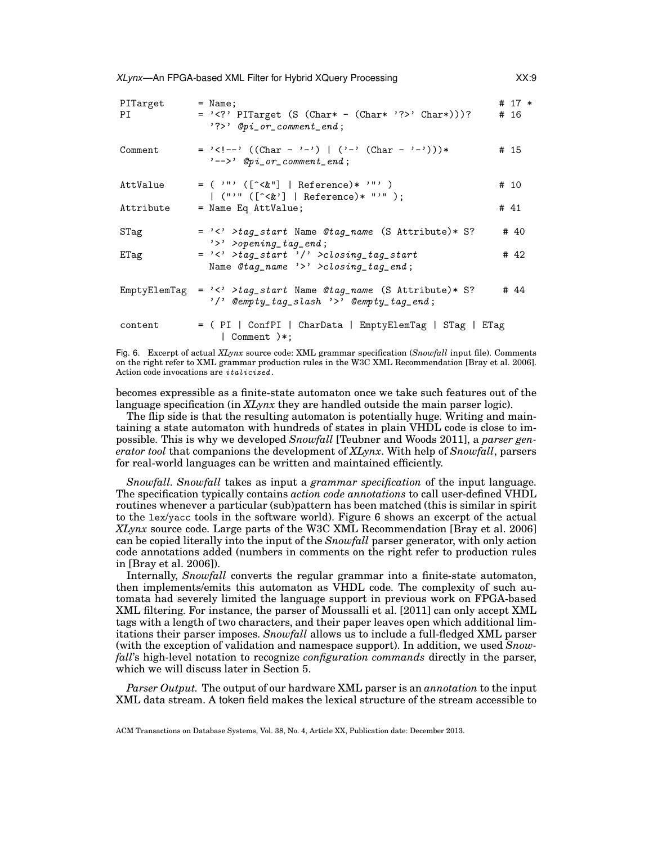| PITarget<br>PI | $=$ Name;<br>= ' ' PITarget (S (Char* - (Char* '? ' Char*)))?<br>$?$ ?>' $Opi_c$ or_comment_end;                          | # $17 *$<br># 16 |
|----------------|---------------------------------------------------------------------------------------------------------------------------|------------------|
| Comment        | = '<!--' ((Char - '-')   ('-' (Char - '-'))) *<br> $'--\rangle$ ' Opi_or_comment_end;                                     | # 15             |
| AttValue       | $=$ ( '"' ([^<&"]   Reference)* '"' )<br>$ $ ("'" ( $[\hat{ } \langle \& \rangle]$   Reference)* "'" );                   | # 10             |
| Attribute      | $=$ Name Eq AttValue;                                                                                                     | # 41             |
| STag           | $=$ '<' >tag_start Name @tag_name (S Attribute)* S?<br>$\rightarrow$ > > > opening_tag_end;                               | # 40             |
| ETag           | $=$ '<' >taq_start '/' >closing_tag_start<br>Name $\mathcal{O}tag_name \rightarrow \rightarrow \text{closing\_tag\_end};$ | # 42             |
| EmptyElemTag   | = '<' >tag_start Name @tag_name (S Attribute)* S?<br>$'$ /' Cempty_tag_slash '>' Cempty_tag_end;                          | # 44             |
| content        | = (PI   ConfPI   CharData   EmptyElemTag   STag   ETag<br>  Comment $)*;$                                                 |                  |

Fig. 6. Excerpt of actual *XLynx* source code: XML grammar specification (*Snowfall* input file). Comments on the right refer to XML grammar production rules in the W3C XML Recommendation [Bray et al. 2006]. Action code invocations are italicized .

becomes expressible as a finite-state automaton once we take such features out of the language specification (in *XLynx* they are handled outside the main parser logic).

The flip side is that the resulting automaton is potentially huge. Writing and maintaining a state automaton with hundreds of states in plain VHDL code is close to impossible. This is why we developed *Snowfall* [Teubner and Woods 2011], a *parser generator tool* that companions the development of *XLynx*. With help of *Snowfall*, parsers for real-world languages can be written and maintained efficiently.

*Snowfall. Snowfall* takes as input a *grammar specification* of the input language. The specification typically contains *action code annotations* to call user-defined VHDL routines whenever a particular (sub)pattern has been matched (this is similar in spirit to the lex/yacc tools in the software world). Figure 6 shows an excerpt of the actual *XLynx* source code. Large parts of the W3C XML Recommendation [Bray et al. 2006] can be copied literally into the input of the *Snowfall* parser generator, with only action code annotations added (numbers in comments on the right refer to production rules in [Bray et al. 2006]).

Internally, *Snowfall* converts the regular grammar into a finite-state automaton, then implements/emits this automaton as VHDL code. The complexity of such automata had severely limited the language support in previous work on FPGA-based XML filtering. For instance, the parser of Moussalli et al. [2011] can only accept XML tags with a length of two characters, and their paper leaves open which additional limitations their parser imposes. *Snowfall* allows us to include a full-fledged XML parser (with the exception of validation and namespace support). In addition, we used *Snowfall*'s high-level notation to recognize *configuration commands* directly in the parser, which we will discuss later in Section 5.

*Parser Output.* The output of our hardware XML parser is an *annotation* to the input XML data stream. A token field makes the lexical structure of the stream accessible to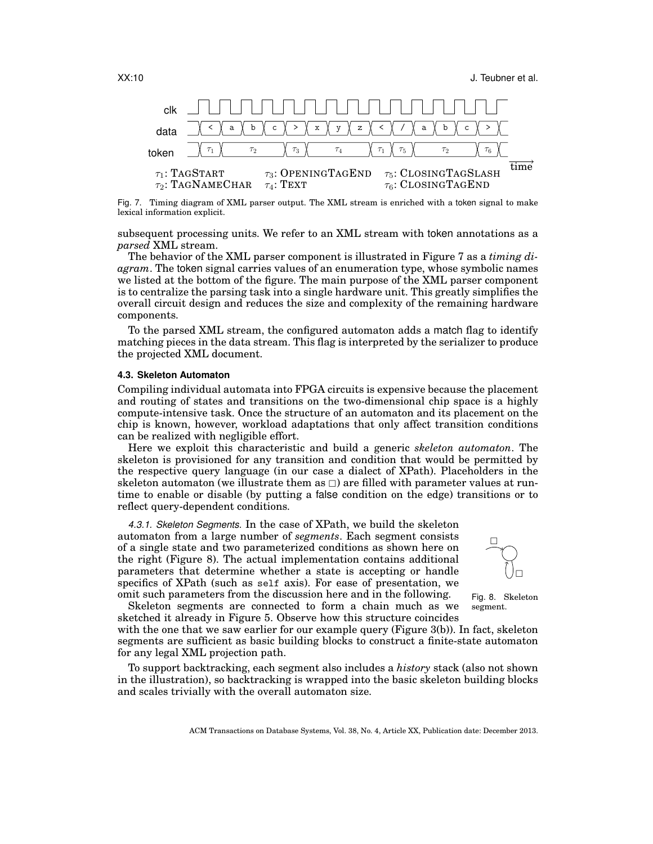XX:10 **J. Teubner et al.** 



Fig. 7. Timing diagram of XML parser output. The XML stream is enriched with a token signal to make lexical information explicit.

subsequent processing units. We refer to an XML stream with token annotations as a *parsed* XML stream.

The behavior of the XML parser component is illustrated in Figure 7 as a *timing diagram*. The token signal carries values of an enumeration type, whose symbolic names we listed at the bottom of the figure. The main purpose of the XML parser component is to centralize the parsing task into a single hardware unit. This greatly simplifies the overall circuit design and reduces the size and complexity of the remaining hardware components.

To the parsed XML stream, the configured automaton adds a match flag to identify matching pieces in the data stream. This flag is interpreted by the serializer to produce the projected XML document.

## **4.3. Skeleton Automaton**

Compiling individual automata into FPGA circuits is expensive because the placement and routing of states and transitions on the two-dimensional chip space is a highly compute-intensive task. Once the structure of an automaton and its placement on the chip is known, however, workload adaptations that only affect transition conditions can be realized with negligible effort.

Here we exploit this characteristic and build a generic *skeleton automaton*. The skeleton is provisioned for any transition and condition that would be permitted by the respective query language (in our case a dialect of XPath). Placeholders in the skeleton automaton (we illustrate them as  $\Box$ ) are filled with parameter values at runtime to enable or disable (by putting a false condition on the edge) transitions or to reflect query-dependent conditions.

*4.3.1. Skeleton Segments.* In the case of XPath, we build the skeleton automaton from a large number of *segments*. Each segment consists of a single state and two parameterized conditions as shown here on the right (Figure 8). The actual implementation contains additional parameters that determine whether a state is accepting or handle specifics of XPath (such as self axis). For ease of presentation, we omit such parameters from the discussion here and in the following.



Fig. 8. Skeleton segment.

Skeleton segments are connected to form a chain much as we sketched it already in Figure 5. Observe how this structure coincides

with the one that we saw earlier for our example query (Figure 3(b)). In fact, skeleton segments are sufficient as basic building blocks to construct a finite-state automaton for any legal XML projection path.

To support backtracking, each segment also includes a *history* stack (also not shown in the illustration), so backtracking is wrapped into the basic skeleton building blocks and scales trivially with the overall automaton size.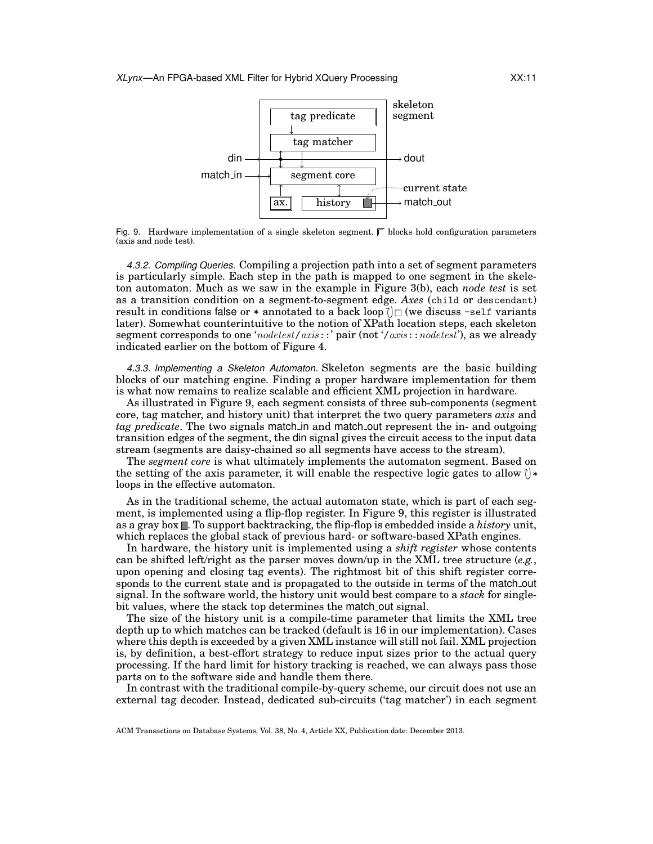

Fig. 9. Hardware implementation of a single skeleton segment.  $\square$  blocks hold configuration parameters (axis and node test).

*4.3.2. Compiling Queries.* Compiling a projection path into a set of segment parameters is particularly simple. Each step in the path is mapped to one segment in the skeleton automaton. Much as we saw in the example in Figure 3(b), each *node test* is set as a transition condition on a segment-to-segment edge. *Axes* (child or descendant) result in conditions false or  $*$  annotated to a back loop  $\cap$  we discuss -self variants later). Somewhat counterintuitive to the notion of XPath location steps, each skeleton segment corresponds to one 'nodetest/axis::' pair (not '/axis::nodetest'), as we already indicated earlier on the bottom of Figure 4.

*4.3.3. Implementing a Skeleton Automaton.* Skeleton segments are the basic building blocks of our matching engine. Finding a proper hardware implementation for them is what now remains to realize scalable and efficient XML projection in hardware.

As illustrated in Figure 9, each segment consists of three sub-components (segment core, tag matcher, and history unit) that interpret the two query parameters *axis* and *tag predicate*. The two signals match in and match out represent the in- and outgoing transition edges of the segment, the din signal gives the circuit access to the input data stream (segments are daisy-chained so all segments have access to the stream).

The *segment core* is what ultimately implements the automaton segment. Based on the setting of the axis parameter, it will enable the respective logic gates to allow  $\uparrow$   $\star$ loops in the effective automaton.

As in the traditional scheme, the actual automaton state, which is part of each segment, is implemented using a flip-flop register. In Figure 9, this register is illustrated as a gray box . To support backtracking, the flip-flop is embedded inside a *history* unit, which replaces the global stack of previous hard- or software-based XPath engines.

In hardware, the history unit is implemented using a *shift register* whose contents can be shifted left/right as the parser moves down/up in the XML tree structure (*e.g.*, upon opening and closing tag events). The rightmost bit of this shift register corresponds to the current state and is propagated to the outside in terms of the match out signal. In the software world, the history unit would best compare to a *stack* for singlebit values, where the stack top determines the match out signal.

The size of the history unit is a compile-time parameter that limits the XML tree depth up to which matches can be tracked (default is 16 in our implementation). Cases where this depth is exceeded by a given XML instance will still not fail. XML projection is, by definition, a best-effort strategy to reduce input sizes prior to the actual query processing. If the hard limit for history tracking is reached, we can always pass those parts on to the software side and handle them there.

In contrast with the traditional compile-by-query scheme, our circuit does not use an external tag decoder. Instead, dedicated sub-circuits ('tag matcher') in each segment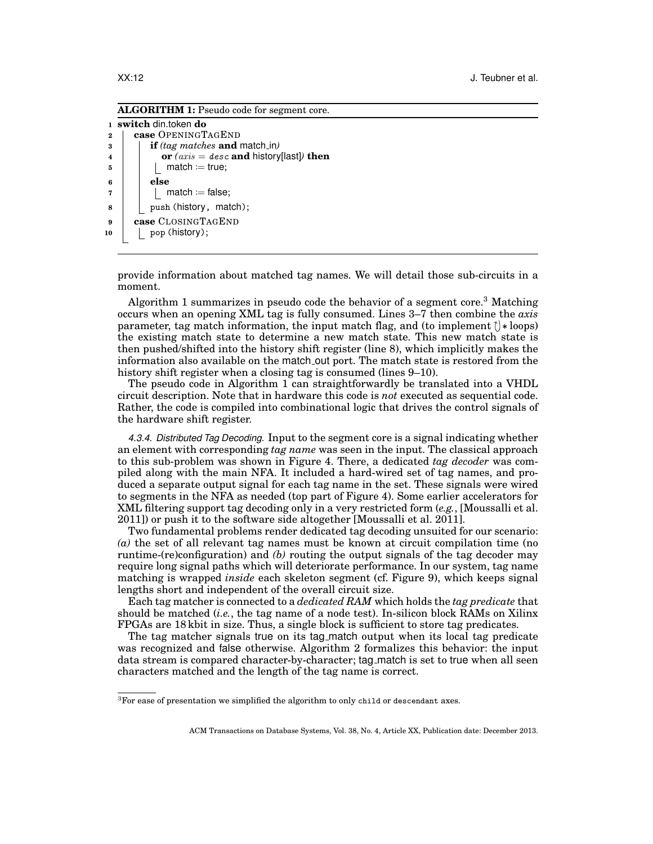**ALGORITHM 1:** Pseudo code for segment core.

```
1 switch din.token do
2 case OPENINGTAGEND
3 if (tag matches and match in)
\bf{a} d or (axis = desc and history[last]) then
\mathsf{5} | | match := true;
6 else
\mathbf{a} \mathbf{b} \mathbf{c} \mathbf{d} match \mathbf{c} = false;
8 | | push (history, match);
9 case CLOSINGTAGEND
10 | pop (history);
```
provide information about matched tag names. We will detail those sub-circuits in a moment.

Algorithm 1 summarizes in pseudo code the behavior of a segment core.<sup>3</sup> Matching occurs when an opening XML tag is fully consumed. Lines 3–7 then combine the *axis* parameter, tag match information, the input match flag, and (to implement  $\uparrow$ )  $*$  loops) the existing match state to determine a new match state. This new match state is then pushed/shifted into the history shift register (line 8), which implicitly makes the information also available on the match out port. The match state is restored from the history shift register when a closing tag is consumed (lines 9–10).

The pseudo code in Algorithm 1 can straightforwardly be translated into a VHDL circuit description. Note that in hardware this code is *not* executed as sequential code. Rather, the code is compiled into combinational logic that drives the control signals of the hardware shift register.

*4.3.4. Distributed Tag Decoding.* Input to the segment core is a signal indicating whether an element with corresponding *tag name* was seen in the input. The classical approach to this sub-problem was shown in Figure 4. There, a dedicated *tag decoder* was compiled along with the main NFA. It included a hard-wired set of tag names, and produced a separate output signal for each tag name in the set. These signals were wired to segments in the NFA as needed (top part of Figure 4). Some earlier accelerators for XML filtering support tag decoding only in a very restricted form (*e.g.*, [Moussalli et al. 2011]) or push it to the software side altogether [Moussalli et al. 2011].

Two fundamental problems render dedicated tag decoding unsuited for our scenario: *(a)* the set of all relevant tag names must be known at circuit compilation time (no runtime-(re)configuration) and *(b)* routing the output signals of the tag decoder may require long signal paths which will deteriorate performance. In our system, tag name matching is wrapped *inside* each skeleton segment (cf. Figure 9), which keeps signal lengths short and independent of the overall circuit size.

Each tag matcher is connected to a *dedicated RAM* which holds the *tag predicate* that should be matched (*i.e.*, the tag name of a node test). In-silicon block RAMs on Xilinx FPGAs are 18 kbit in size. Thus, a single block is sufficient to store tag predicates.

The tag matcher signals true on its tag match output when its local tag predicate was recognized and false otherwise. Algorithm 2 formalizes this behavior: the input data stream is compared character-by-character; tag match is set to true when all seen characters matched and the length of the tag name is correct.

 ${}^{3}$  For ease of presentation we simplified the algorithm to only child or descendant axes.

ACM Transactions on Database Systems, Vol. 38, No. 4, Article XX, Publication date: December 2013.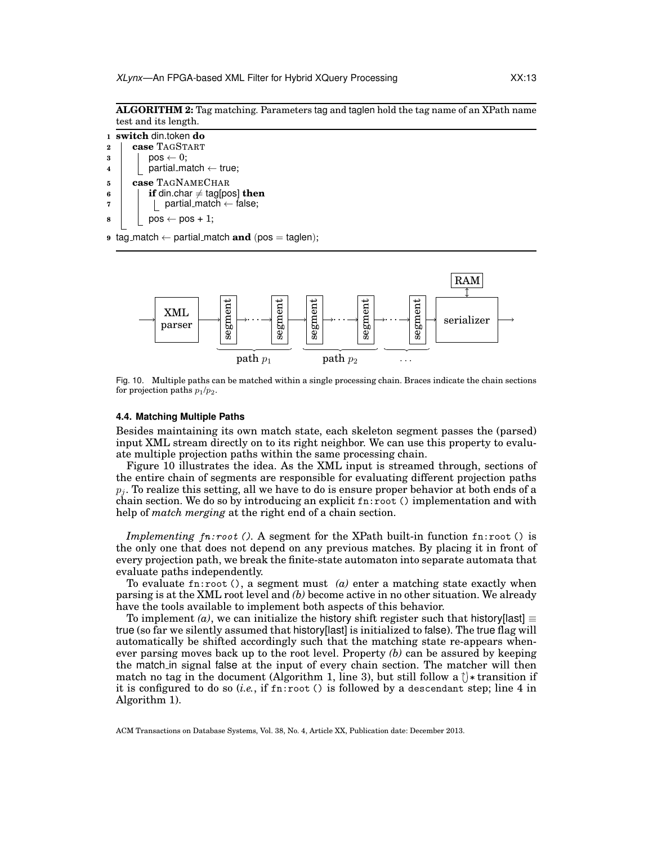**ALGORITHM 2:** Tag matching. Parameters tag and taglen hold the tag name of an XPath name test and its length.

- **<sup>1</sup> switch** din.token **do <sup>2</sup> case** TAGSTART  $3 \mid \cdot \cdot \cdot \cdot 0$ ;  $\begin{array}{c|c} 4 & | & | \end{array}$  partial\_match  $\leftarrow$  true; **<sup>5</sup> case** TAGNAMECHAR  $\mathbf{f} \cdot \mathbf{f} = \mathbf{f} \cdot \mathbf{f}$  if din.char  $\neq$  tag[pos] **then**  $\mathbf{r}$  | | partial match  $\leftarrow$  false;  $\mathbf{s}$  | pos  $\leftarrow$  pos + 1;
- **9** tag\_match  $\leftarrow$  partial\_match **and** (pos = taglen);



Fig. 10. Multiple paths can be matched within a single processing chain. Braces indicate the chain sections for projection paths  $p_1/p_2$ .

#### **4.4. Matching Multiple Paths**

Besides maintaining its own match state, each skeleton segment passes the (parsed) input XML stream directly on to its right neighbor. We can use this property to evaluate multiple projection paths within the same processing chain.

Figure 10 illustrates the idea. As the XML input is streamed through, sections of the entire chain of segments are responsible for evaluating different projection paths  $p_i$ . To realize this setting, all we have to do is ensure proper behavior at both ends of a chain section. We do so by introducing an explicit fn:root () implementation and with help of *match merging* at the right end of a chain section.

*Implementing* fn:root (). A segment for the XPath built-in function fn:root () is the only one that does not depend on any previous matches. By placing it in front of every projection path, we break the finite-state automaton into separate automata that evaluate paths independently.

To evaluate fn:root  $()$ , a segment must  $(a)$  enter a matching state exactly when parsing is at the XML root level and *(b)* become active in no other situation. We already have the tools available to implement both aspects of this behavior.

To implement *(a)*, we can initialize the history shift register such that history[last]  $\equiv$ true (so far we silently assumed that history[last] is initialized to false). The true flag will automatically be shifted accordingly such that the matching state re-appears whenever parsing moves back up to the root level. Property *(b)* can be assured by keeping the match in signal false at the input of every chain section. The matcher will then match no tag in the document (Algorithm 1, line 3), but still follow a  $\uparrow$   $\star$  transition if it is configured to do so (*i.e.*, if fn:root () is followed by a descendant step; line 4 in Algorithm 1).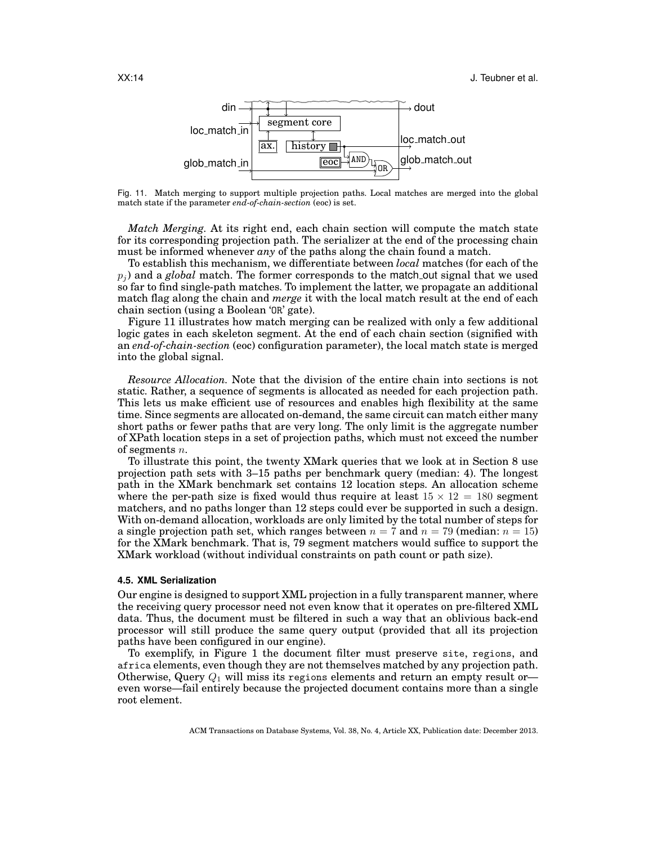

Fig. 11. Match merging to support multiple projection paths. Local matches are merged into the global match state if the parameter *end-of-chain-section* (eoc) is set.

*Match Merging.* At its right end, each chain section will compute the match state for its corresponding projection path. The serializer at the end of the processing chain must be informed whenever *any* of the paths along the chain found a match.

To establish this mechanism, we differentiate between *local* matches (for each of the  $p_i$ ) and a *global* match. The former corresponds to the match out signal that we used so far to find single-path matches. To implement the latter, we propagate an additional match flag along the chain and *merge* it with the local match result at the end of each chain section (using a Boolean 'OR' gate).

Figure 11 illustrates how match merging can be realized with only a few additional logic gates in each skeleton segment. At the end of each chain section (signified with an *end-of-chain-section* (eoc) configuration parameter), the local match state is merged into the global signal.

*Resource Allocation.* Note that the division of the entire chain into sections is not static. Rather, a sequence of segments is allocated as needed for each projection path. This lets us make efficient use of resources and enables high flexibility at the same time. Since segments are allocated on-demand, the same circuit can match either many short paths or fewer paths that are very long. The only limit is the aggregate number of XPath location steps in a set of projection paths, which must not exceed the number of segments  $n$ .

To illustrate this point, the twenty XMark queries that we look at in Section 8 use projection path sets with 3–15 paths per benchmark query (median: 4). The longest path in the XMark benchmark set contains 12 location steps. An allocation scheme where the per-path size is fixed would thus require at least  $15 \times 12 = 180$  segment matchers, and no paths longer than 12 steps could ever be supported in such a design. With on-demand allocation, workloads are only limited by the total number of steps for a single projection path set, which ranges between  $n = 7$  and  $n = 79$  (median:  $n = 15$ ) for the XMark benchmark. That is, 79 segment matchers would suffice to support the XMark workload (without individual constraints on path count or path size).

#### **4.5. XML Serialization**

Our engine is designed to support XML projection in a fully transparent manner, where the receiving query processor need not even know that it operates on pre-filtered XML data. Thus, the document must be filtered in such a way that an oblivious back-end processor will still produce the same query output (provided that all its projection paths have been configured in our engine).

To exemplify, in Figure 1 the document filter must preserve site, regions, and africa elements, even though they are not themselves matched by any projection path. Otherwise, Query  $Q_1$  will miss its regions elements and return an empty result or even worse—fail entirely because the projected document contains more than a single root element.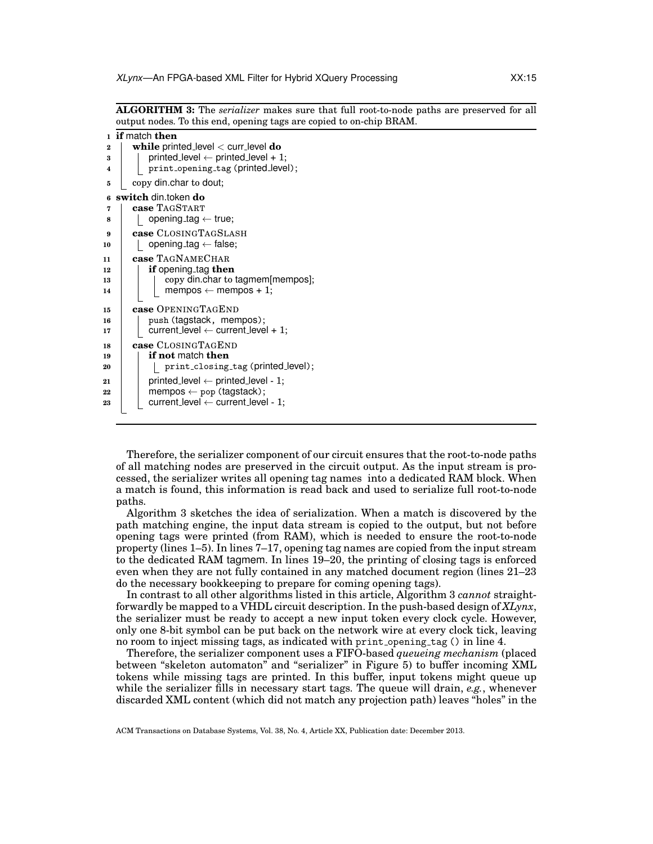**ALGORITHM 3:** The *serializer* makes sure that full root-to-node paths are preserved for all output nodes. To this end, opening tags are copied to on-chip BRAM.

```
1 if match then
2 while printed level < curr level do
\mathbf{a} | printed level \leftarrow printed level + 1;
4 | print_opening_tag (printed_level);
5 copy din.char to dout;
6 switch din.token do
7 case TAGSTART
\mathbf{s} | | opening_tag \leftarrow true;
9 case CLOSINGTAGSLASH
10 | | opening_tag ← false;
11 case TAGNAMECHAR
12 if opening tag then
13 | copy din.char to tagmem[mempos];
14 | | mempos \leftarrow mempos + 1;
15 case OPENINGTAGEND
16 | push (tagstack, mempos);
17 current level \leftarrow current level + 1;
18 case CLOSINGTAGEND
19 if not match then
20 | | print_closing_tag (printed_level);
21 | printed level \leftarrow printed level - 1;
22 mempos \leftarrow pop (tagstack);<br>
23 current level \leftarrow current level
          23 current level ← current level - 1;
```
Therefore, the serializer component of our circuit ensures that the root-to-node paths of all matching nodes are preserved in the circuit output. As the input stream is processed, the serializer writes all opening tag names into a dedicated RAM block. When a match is found, this information is read back and used to serialize full root-to-node paths.

Algorithm 3 sketches the idea of serialization. When a match is discovered by the path matching engine, the input data stream is copied to the output, but not before opening tags were printed (from RAM), which is needed to ensure the root-to-node property (lines 1–5). In lines 7–17, opening tag names are copied from the input stream to the dedicated RAM tagmem. In lines 19–20, the printing of closing tags is enforced even when they are not fully contained in any matched document region (lines 21–23 do the necessary bookkeeping to prepare for coming opening tags).

In contrast to all other algorithms listed in this article, Algorithm 3 *cannot* straightforwardly be mapped to a VHDL circuit description. In the push-based design of *XLynx*, the serializer must be ready to accept a new input token every clock cycle. However, only one 8-bit symbol can be put back on the network wire at every clock tick, leaving no room to inject missing tags, as indicated with print opening tag () in line 4.

Therefore, the serializer component uses a FIFO-based *queueing mechanism* (placed between "skeleton automaton" and "serializer" in Figure 5) to buffer incoming XML tokens while missing tags are printed. In this buffer, input tokens might queue up while the serializer fills in necessary start tags. The queue will drain, *e.g.*, whenever discarded XML content (which did not match any projection path) leaves "holes" in the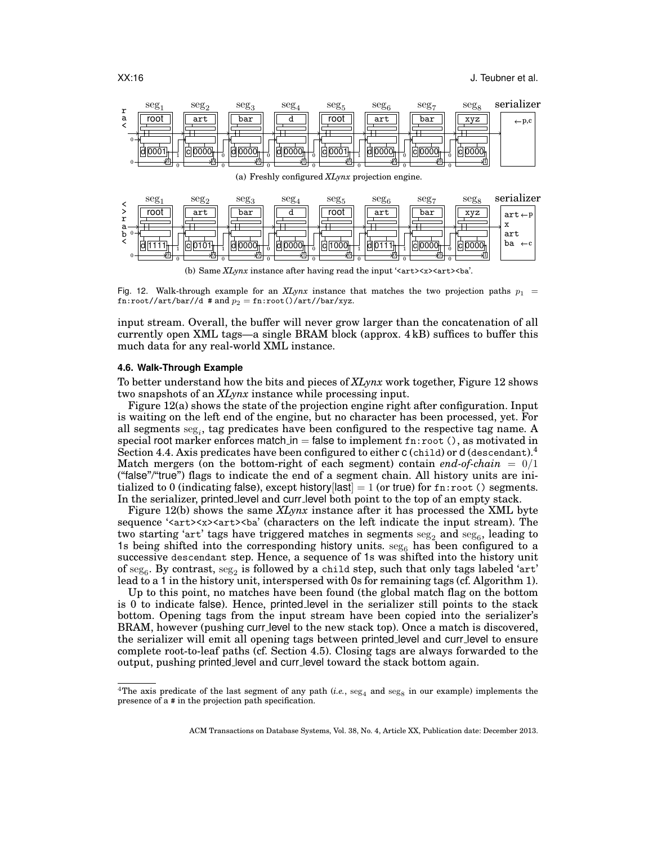

(b) Same *XLynx* instance after having read the input '<art>>x><art>>at><br/>sa'.

Fig. 12. Walk-through example for an *XLynx* instance that matches the two projection paths  $p_1$  = fn:root//art/bar//d # and  $p_2 = \text{fn:root}() / \text{art} / \text{bar}/\text{xyz}$ .

input stream. Overall, the buffer will never grow larger than the concatenation of all currently open XML tags—a single BRAM block (approx. 4 kB) suffices to buffer this much data for any real-world XML instance.

## **4.6. Walk-Through Example**

To better understand how the bits and pieces of *XLynx* work together, Figure 12 shows two snapshots of an *XLynx* instance while processing input.

Figure 12(a) shows the state of the projection engine right after configuration. Input is waiting on the left end of the engine, but no character has been processed, yet. For all segments  $\text{seg}_i$ , tag predicates have been configured to the respective tag name. A special root marker enforces match in  $=$  false to implement fn: root (), as motivated in Section 4.4. Axis predicates have been configured to either  $c$  (child) or d (descendant).<sup>4</sup> Match mergers (on the bottom-right of each segment) contain *end-of-chain*  $= 0/1$ ("false"/"true") flags to indicate the end of a segment chain. All history units are initialized to 0 (indicating false), except history[last] = 1 (or true) for  $fn:root$  () segments. In the serializer, printed level and curr level both point to the top of an empty stack.

Figure 12(b) shows the same *XLynx* instance after it has processed the XML byte sequence '<art><x>>>>>><art>>t>>>>ba' (characters on the left indicate the input stream). The two starting 'art' tags have triggered matches in segments  $\mathrm{seg}_2$  and  $\mathrm{seg}_6$ , leading to 1s being shifted into the corresponding history units.  $\text{seg}_6$  has been configured to a successive descendant step. Hence, a sequence of 1s was shifted into the history unit of  $\mathrm{seg}_6$ . By contrast,  $\mathrm{seg}_2$  is followed by a child step, such that only tags labeled 'art' lead to a 1 in the history unit, interspersed with 0s for remaining tags (cf. Algorithm 1).

Up to this point, no matches have been found (the global match flag on the bottom is 0 to indicate false). Hence, printed level in the serializer still points to the stack bottom. Opening tags from the input stream have been copied into the serializer's BRAM, however (pushing curr level to the new stack top). Once a match is discovered, the serializer will emit all opening tags between printed level and curr level to ensure complete root-to-leaf paths (cf. Section 4.5). Closing tags are always forwarded to the output, pushing printed level and curr level toward the stack bottom again.

<sup>&</sup>lt;sup>4</sup>The axis predicate of the last segment of any path (*i.e.*,  $\text{seg}_4$  and  $\text{seg}_8$  in our example) implements the presence of a # in the projection path specification.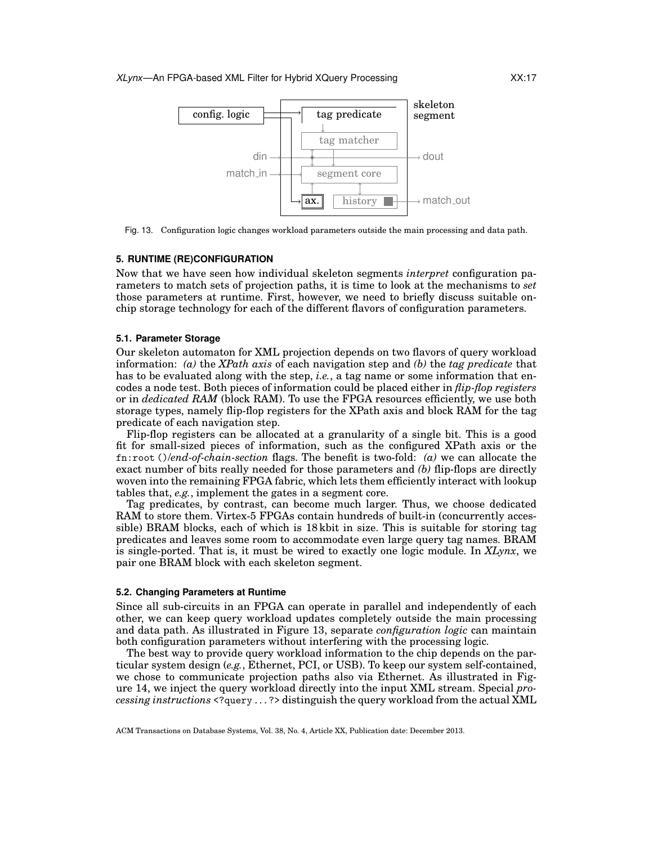

Fig. 13. Configuration logic changes workload parameters outside the main processing and data path.

#### **5. RUNTIME (RE)CONFIGURATION**

Now that we have seen how individual skeleton segments *interpret* configuration parameters to match sets of projection paths, it is time to look at the mechanisms to *set* those parameters at runtime. First, however, we need to briefly discuss suitable onchip storage technology for each of the different flavors of configuration parameters.

#### **5.1. Parameter Storage**

Our skeleton automaton for XML projection depends on two flavors of query workload information: *(a)* the *XPath axis* of each navigation step and *(b)* the *tag predicate* that has to be evaluated along with the step, *i.e.*, a tag name or some information that encodes a node test. Both pieces of information could be placed either in *flip-flop registers* or in *dedicated RAM* (block RAM). To use the FPGA resources efficiently, we use both storage types, namely flip-flop registers for the XPath axis and block RAM for the tag predicate of each navigation step.

Flip-flop registers can be allocated at a granularity of a single bit. This is a good fit for small-sized pieces of information, such as the configured XPath axis or the fn:root ()/*end-of-chain-section* flags. The benefit is two-fold: *(a)* we can allocate the exact number of bits really needed for those parameters and *(b)* flip-flops are directly woven into the remaining FPGA fabric, which lets them efficiently interact with lookup tables that, *e.g.*, implement the gates in a segment core.

Tag predicates, by contrast, can become much larger. Thus, we choose dedicated RAM to store them. Virtex-5 FPGAs contain hundreds of built-in (concurrently accessible) BRAM blocks, each of which is 18 kbit in size. This is suitable for storing tag predicates and leaves some room to accommodate even large query tag names. BRAM is single-ported. That is, it must be wired to exactly one logic module. In *XLynx*, we pair one BRAM block with each skeleton segment.

## **5.2. Changing Parameters at Runtime**

Since all sub-circuits in an FPGA can operate in parallel and independently of each other, we can keep query workload updates completely outside the main processing and data path. As illustrated in Figure 13, separate *configuration logic* can maintain both configuration parameters without interfering with the processing logic.

The best way to provide query workload information to the chip depends on the particular system design (*e.g.*, Ethernet, PCI, or USB). To keep our system self-contained, we chose to communicate projection paths also via Ethernet. As illustrated in Figure 14, we inject the query workload directly into the input XML stream. Special *processing instructions* <?query . . . ?> distinguish the query workload from the actual XML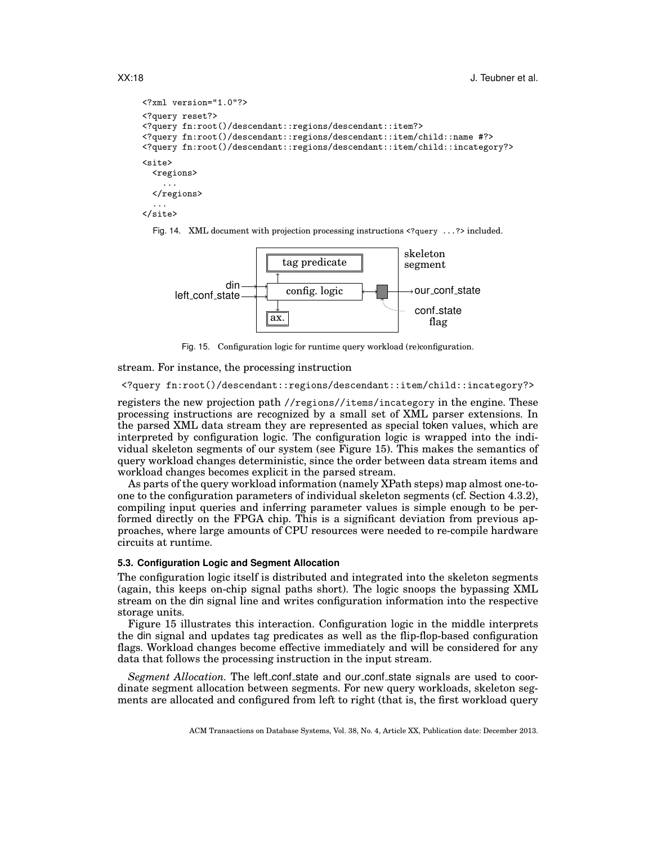```
<?xml version="1.0"?>
<?query reset?>
<?query fn:root()/descendant::regions/descendant::item?>
<?query fn:root()/descendant::regions/descendant::item/child::name #?>
<?query fn:root()/descendant::regions/descendant::item/child::incategory?>
<site>
  <regions>
    ...
  </regions>
  ...
</site>
```




Fig. 15. Configuration logic for runtime query workload (re)configuration.

stream. For instance, the processing instruction

<?query fn:root()/descendant::regions/descendant::item/child::incategory?>

registers the new projection path //regions//items/incategory in the engine. These processing instructions are recognized by a small set of XML parser extensions. In the parsed XML data stream they are represented as special token values, which are interpreted by configuration logic. The configuration logic is wrapped into the individual skeleton segments of our system (see Figure 15). This makes the semantics of query workload changes deterministic, since the order between data stream items and workload changes becomes explicit in the parsed stream.

As parts of the query workload information (namely XPath steps) map almost one-toone to the configuration parameters of individual skeleton segments (cf. Section 4.3.2), compiling input queries and inferring parameter values is simple enough to be performed directly on the FPGA chip. This is a significant deviation from previous approaches, where large amounts of CPU resources were needed to re-compile hardware circuits at runtime.

# **5.3. Configuration Logic and Segment Allocation**

The configuration logic itself is distributed and integrated into the skeleton segments (again, this keeps on-chip signal paths short). The logic snoops the bypassing XML stream on the din signal line and writes configuration information into the respective storage units.

Figure 15 illustrates this interaction. Configuration logic in the middle interprets the din signal and updates tag predicates as well as the flip-flop-based configuration flags. Workload changes become effective immediately and will be considered for any data that follows the processing instruction in the input stream.

*Segment Allocation*. The left conf state and our conf state signals are used to coordinate segment allocation between segments. For new query workloads, skeleton segments are allocated and configured from left to right (that is, the first workload query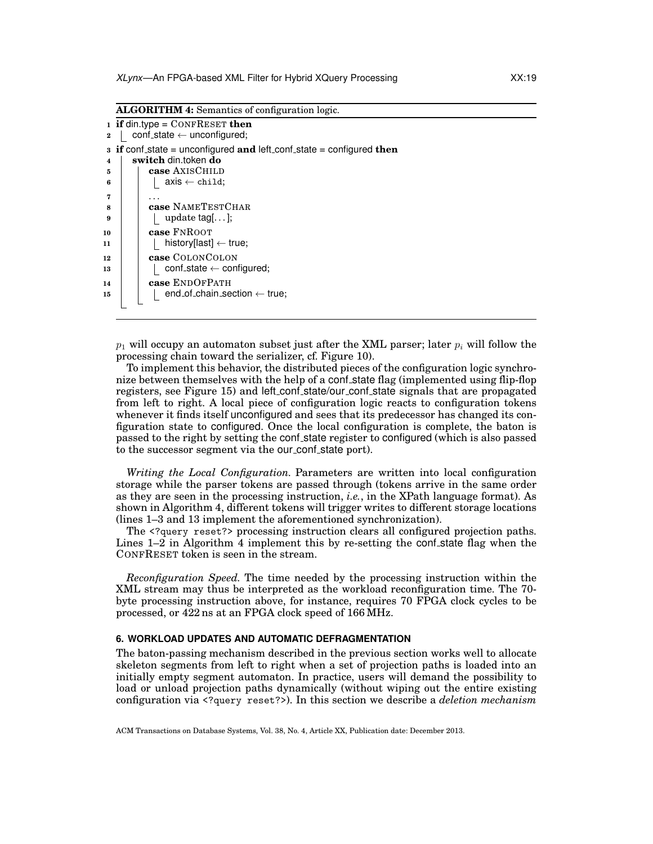**ALGORITHM 4:** Semantics of configuration logic.

```
1 if din.type = CONFRESET then
 2 conf_state ← unconfigured;
3 if conf state = unconfigured and left conf state = configured then
4 switch din.token do
5 case AXISCHILD
6 \vert \vert axis \leftarrow child;
 7 . . .
 8 case NAMETESTCHAR
9 | | | update tag[...];
10 case FNROOT
11 | | history[last] \leftarrow true;
12 case COLONCOLON
\begin{array}{c|c|c|c} \n 13 & | & | & \text{conf\_state} \leftarrow \text{configured}; \n \end{array}14 case ENDOFPATH
\begin{array}{c|c|c|c|c} \n\text{15} & \text{ } & \text{ } & \text{ } \text{end\_of\_chain\_section} \leftarrow \text{true}; \n\end{array}
```
 $p_1$  will occupy an automaton subset just after the XML parser; later  $p_i$  will follow the processing chain toward the serializer, cf. Figure 10).

To implement this behavior, the distributed pieces of the configuration logic synchronize between themselves with the help of a conf state flag (implemented using flip-flop registers, see Figure 15) and left conf state/our conf state signals that are propagated from left to right. A local piece of configuration logic reacts to configuration tokens whenever it finds itself unconfigured and sees that its predecessor has changed its configuration state to configured. Once the local configuration is complete, the baton is passed to the right by setting the conf state register to configured (which is also passed to the successor segment via the our conf state port).

*Writing the Local Configuration.* Parameters are written into local configuration storage while the parser tokens are passed through (tokens arrive in the same order as they are seen in the processing instruction, *i.e.*, in the XPath language format). As shown in Algorithm 4, different tokens will trigger writes to different storage locations (lines 1–3 and 13 implement the aforementioned synchronization).

The <?query reset?> processing instruction clears all configured projection paths. Lines  $1-2$  in Algorithm 4 implement this by re-setting the confirmation flag when the CONFRESET token is seen in the stream.

*Reconfiguration Speed.* The time needed by the processing instruction within the XML stream may thus be interpreted as the workload reconfiguration time. The 70 byte processing instruction above, for instance, requires 70 FPGA clock cycles to be processed, or 422 ns at an FPGA clock speed of 166 MHz.

# **6. WORKLOAD UPDATES AND AUTOMATIC DEFRAGMENTATION**

The baton-passing mechanism described in the previous section works well to allocate skeleton segments from left to right when a set of projection paths is loaded into an initially empty segment automaton. In practice, users will demand the possibility to load or unload projection paths dynamically (without wiping out the entire existing configuration via <?query reset?>). In this section we describe a *deletion mechanism*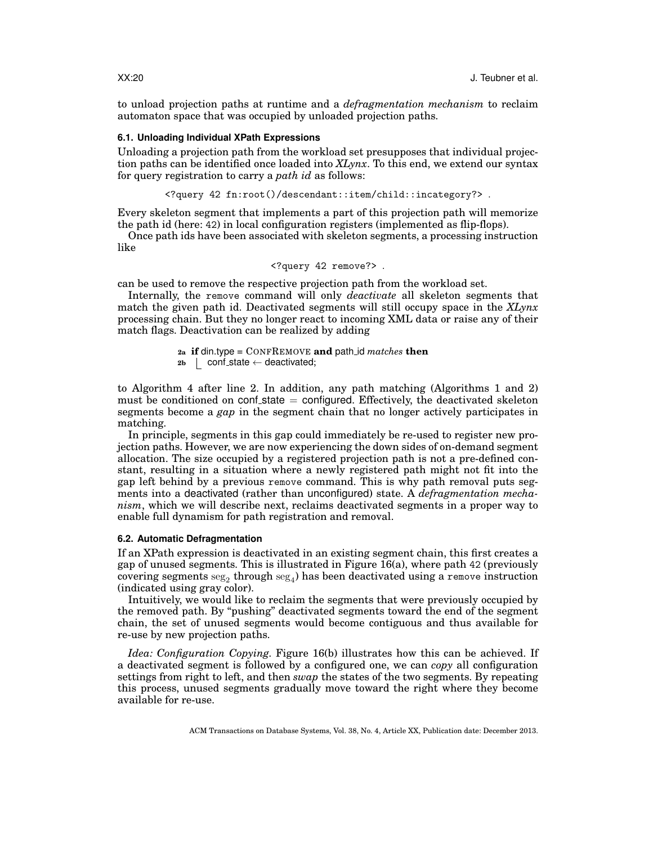to unload projection paths at runtime and a *defragmentation mechanism* to reclaim automaton space that was occupied by unloaded projection paths.

#### **6.1. Unloading Individual XPath Expressions**

Unloading a projection path from the workload set presupposes that individual projection paths can be identified once loaded into *XLynx*. To this end, we extend our syntax for query registration to carry a *path id* as follows:

<?query 42 fn:root()/descendant::item/child::incategory?> .

Every skeleton segment that implements a part of this projection path will memorize the path id (here: 42) in local configuration registers (implemented as flip-flops).

Once path ids have been associated with skeleton segments, a processing instruction like

```
<?query 42 remove?> .
```
can be used to remove the respective projection path from the workload set.

Internally, the remove command will only *deactivate* all skeleton segments that match the given path id. Deactivated segments will still occupy space in the *XLynx* processing chain. But they no longer react to incoming XML data or raise any of their match flags. Deactivation can be realized by adding

> **2a if** din.type *=* CONFREMOVE **and** path id *matches* **then**  $2b$  conf\_state  $\leftarrow$  deactivated;

to Algorithm 4 after line 2. In addition, any path matching (Algorithms 1 and 2) must be conditioned on conf-state  $=$  configured. Effectively, the deactivated skeleton segments become a *gap* in the segment chain that no longer actively participates in matching.

In principle, segments in this gap could immediately be re-used to register new projection paths. However, we are now experiencing the down sides of on-demand segment allocation. The size occupied by a registered projection path is not a pre-defined constant, resulting in a situation where a newly registered path might not fit into the gap left behind by a previous remove command. This is why path removal puts segments into a deactivated (rather than unconfigured) state. A *defragmentation mechanism*, which we will describe next, reclaims deactivated segments in a proper way to enable full dynamism for path registration and removal.

## **6.2. Automatic Defragmentation**

If an XPath expression is deactivated in an existing segment chain, this first creates a gap of unused segments. This is illustrated in Figure 16(a), where path 42 (previously covering segments  $\mathrm{seg}_2$  through  $\mathrm{seg}_4$ ) has been deactivated using a remove instruction (indicated using gray color).

Intuitively, we would like to reclaim the segments that were previously occupied by the removed path. By "pushing" deactivated segments toward the end of the segment chain, the set of unused segments would become contiguous and thus available for re-use by new projection paths.

*Idea: Configuration Copying.* Figure 16(b) illustrates how this can be achieved. If a deactivated segment is followed by a configured one, we can *copy* all configuration settings from right to left, and then *swap* the states of the two segments. By repeating this process, unused segments gradually move toward the right where they become available for re-use.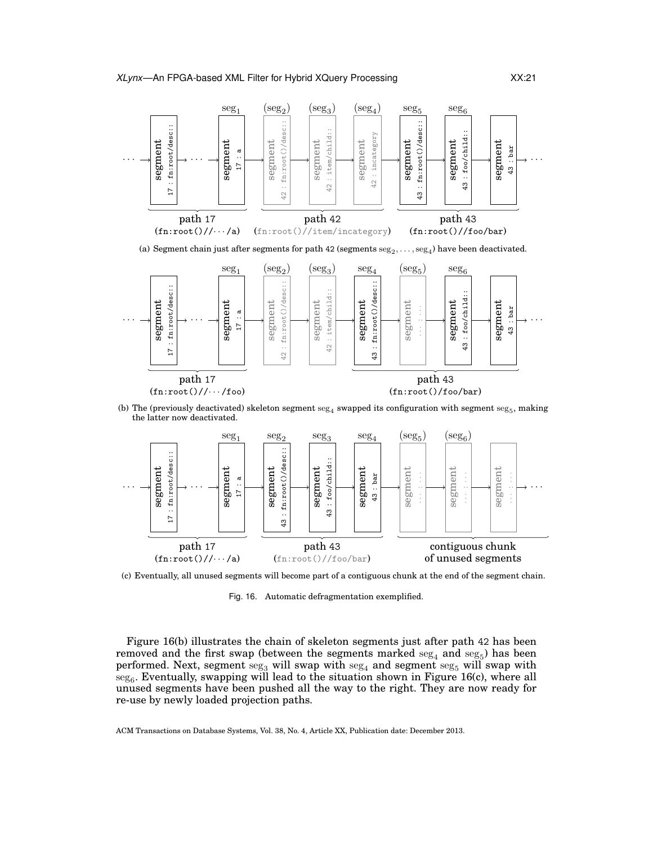

(a) Segment chain just after segments for path 42 (segments  $\text{seg}_2, \ldots, \text{seg}_4$ ) have been deactivated.



(b) The (previously deactivated) skeleton segment  $\mathrm{seg}_4$  swapped its configuration with segment  $\mathrm{seg}_5$ , making the latter now deactivated.



(c) Eventually, all unused segments will become part of a contiguous chunk at the end of the segment chain.

Fig. 16. Automatic defragmentation exemplified.

Figure 16(b) illustrates the chain of skeleton segments just after path 42 has been removed and the first swap (between the segments marked  $\text{seg}_4$  and  $\text{seg}_5$ ) has been performed. Next, segment  $\text{seg}_3$  will swap with  $\text{seg}_4$  and segment  $\text{seg}_5$  will swap with  $\mathrm{seg}_6$ . Eventually, swapping will lead to the situation shown in Figure 16(c), where all unused segments have been pushed all the way to the right. They are now ready for re-use by newly loaded projection paths.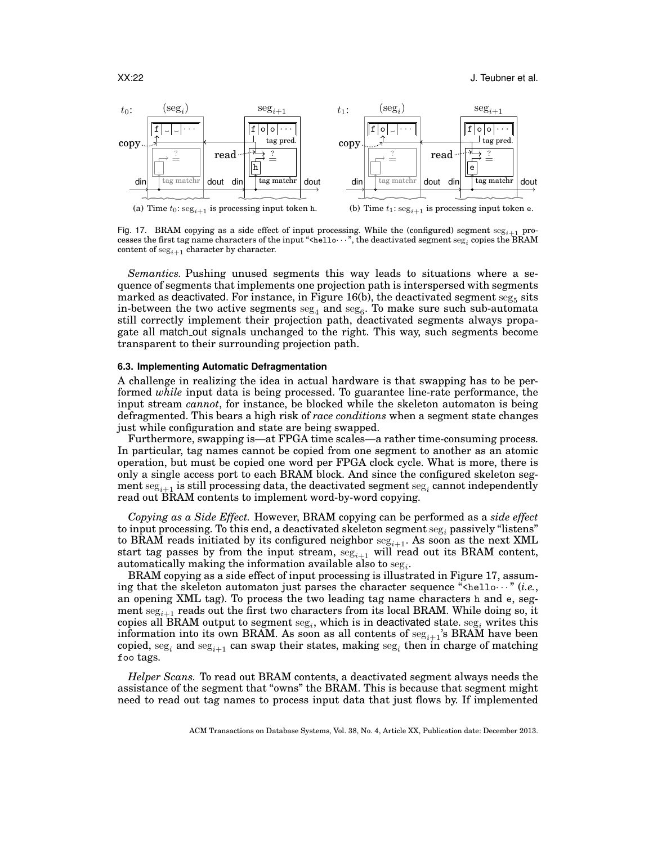

Fig. 17. BRAM copying as a side effect of input processing. While the (configured) segment  $\text{seg}_{i+1}$  processes the first tag name characters of the input "<hello···", the deactivated segment  $\mathrm{seg}_i$  copies the BRAM content of  $\mathrm{seg}_{i+1}$  character by character.

*Semantics.* Pushing unused segments this way leads to situations where a sequence of segments that implements one projection path is interspersed with segments marked as deactivated. For instance, in Figure 16(b), the deactivated segment  $\mathrm{seg}_5$  sits in-between the two active segments  $\mathrm{seg}_4$  and  $\mathrm{seg}_6.$  To make sure such sub-automata still correctly implement their projection path, deactivated segments always propagate all match out signals unchanged to the right. This way, such segments become transparent to their surrounding projection path.

# **6.3. Implementing Automatic Defragmentation**

A challenge in realizing the idea in actual hardware is that swapping has to be performed *while* input data is being processed. To guarantee line-rate performance, the input stream *cannot*, for instance, be blocked while the skeleton automaton is being defragmented. This bears a high risk of *race conditions* when a segment state changes just while configuration and state are being swapped.

Furthermore, swapping is—at FPGA time scales—a rather time-consuming process. In particular, tag names cannot be copied from one segment to another as an atomic operation, but must be copied one word per FPGA clock cycle. What is more, there is only a single access port to each BRAM block. And since the configured skeleton segment  $\mathrm{seg}_{i+1}$  is still processing data, the deactivated segment  $\mathrm{seg}_i$  cannot independently read out BRAM contents to implement word-by-word copying.

*Copying as a Side Effect.* However, BRAM copying can be performed as a *side effect* to input processing. To this end, a deactivated skeleton segment  $\text{seg}_i$  passively "listens" to BRAM reads initiated by its configured neighbor  $seg_{i+1}$ . As soon as the next XML start tag passes by from the input stream,  $seg_{i+1}$  will read out its BRAM content, automatically making the information available also to  $\text{seg}_i$ .

BRAM copying as a side effect of input processing is illustrated in Figure 17, assuming that the skeleton automaton just parses the character sequence " $\zeta_{\text{helo}} \cdots$ " (*i.e.*, an opening XML tag). To process the two leading tag name characters h and e, segment  $\text{seg}_{i+1}$  reads out the first two characters from its local BRAM. While doing so, it copies all BRAM output to segment  $\mathrm{seg}_i,$  which is in deactivated state.  $\mathrm{seg}_i$  writes this information into its own BRAM. As soon as all contents of  $seg_{i+1}$ 's BRAM have been copied,  $\text{seg}_i$  and  $\text{seg}_{i+1}$  can swap their states, making  $\text{seg}_i$  then in charge of matching foo tags.

*Helper Scans.* To read out BRAM contents, a deactivated segment always needs the assistance of the segment that "owns" the BRAM. This is because that segment might need to read out tag names to process input data that just flows by. If implemented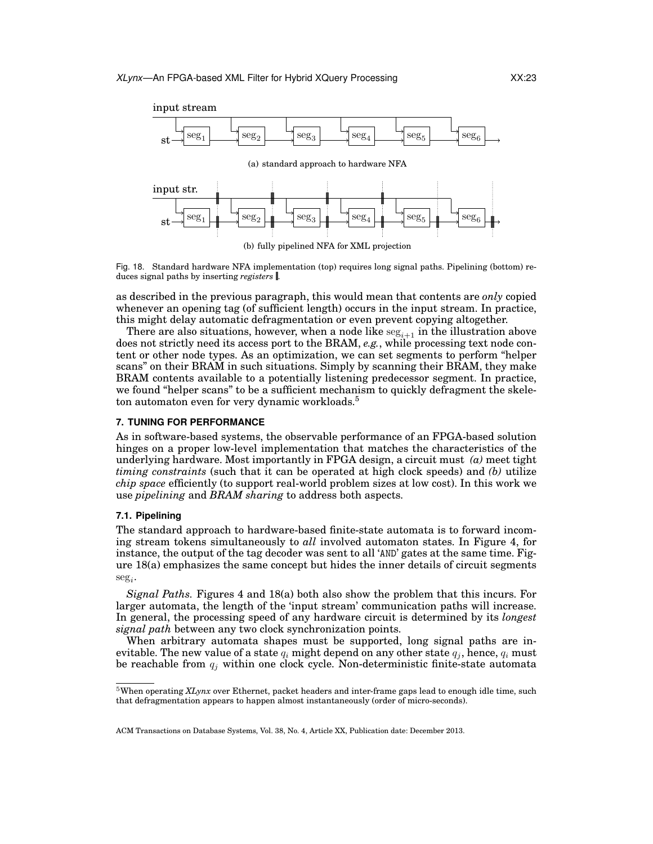

Fig. 18. Standard hardware NFA implementation (top) requires long signal paths. Pipelining (bottom) reduces signal paths by inserting *registers* .

as described in the previous paragraph, this would mean that contents are *only* copied whenever an opening tag (of sufficient length) occurs in the input stream. In practice, this might delay automatic defragmentation or even prevent copying altogether.

There are also situations, however, when a node like  $\text{seg}_{i+1}$  in the illustration above does not strictly need its access port to the BRAM, *e.g.*, while processing text node content or other node types. As an optimization, we can set segments to perform "helper scans" on their BRAM in such situations. Simply by scanning their BRAM, they make BRAM contents available to a potentially listening predecessor segment. In practice, we found "helper scans" to be a sufficient mechanism to quickly defragment the skeleton automaton even for very dynamic workloads.<sup>5</sup>

## **7. TUNING FOR PERFORMANCE**

As in software-based systems, the observable performance of an FPGA-based solution hinges on a proper low-level implementation that matches the characteristics of the underlying hardware. Most importantly in FPGA design, a circuit must *(a)* meet tight *timing constraints* (such that it can be operated at high clock speeds) and *(b)* utilize *chip space* efficiently (to support real-world problem sizes at low cost). In this work we use *pipelining* and *BRAM sharing* to address both aspects.

## **7.1. Pipelining**

The standard approach to hardware-based finite-state automata is to forward incoming stream tokens simultaneously to *all* involved automaton states. In Figure 4, for instance, the output of the tag decoder was sent to all 'AND' gates at the same time. Figure 18(a) emphasizes the same concept but hides the inner details of circuit segments  $\text{seg}_i$ .

*Signal Paths.* Figures 4 and 18(a) both also show the problem that this incurs. For larger automata, the length of the 'input stream' communication paths will increase. In general, the processing speed of any hardware circuit is determined by its *longest signal path* between any two clock synchronization points.

When arbitrary automata shapes must be supported, long signal paths are inevitable. The new value of a state  $q_i$  might depend on any other state  $q_i$ , hence,  $q_i$  must be reachable from  $q_j$  within one clock cycle. Non-deterministic finite-state automata

<sup>5</sup>When operating *XLynx* over Ethernet, packet headers and inter-frame gaps lead to enough idle time, such that defragmentation appears to happen almost instantaneously (order of micro-seconds).

ACM Transactions on Database Systems, Vol. 38, No. 4, Article XX, Publication date: December 2013.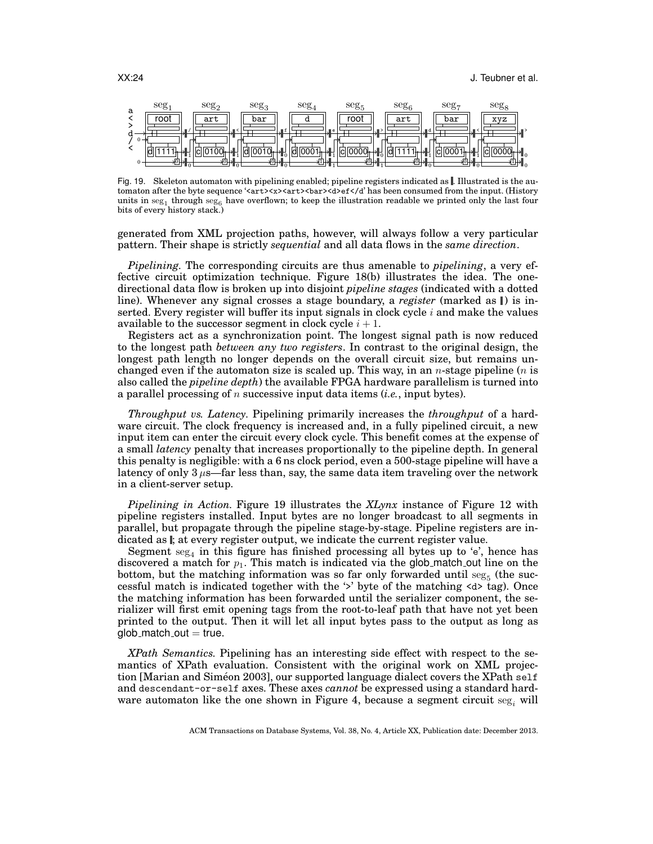

Fig. 19. Skeleton automaton with pipelining enabled; pipeline registers indicated as . Illustrated is the automaton after the byte sequence '<art><x>><art>>>>><d>ef></d' has been consumed from the input. (History units in  $\mathrm{seg}_1$  through  $\mathrm{seg}_6$  have overflown; to keep the illustration readable we printed only the last four bits of every history stack.)

generated from XML projection paths, however, will always follow a very particular pattern. Their shape is strictly *sequential* and all data flows in the *same direction*.

*Pipelining.* The corresponding circuits are thus amenable to *pipelining*, a very effective circuit optimization technique. Figure 18(b) illustrates the idea. The onedirectional data flow is broken up into disjoint *pipeline stages* (indicated with a dotted line). Whenever any signal crosses a stage boundary, a *register* (marked as  $\parallel$ ) is inserted. Every register will buffer its input signals in clock cycle  $i$  and make the values available to the successor segment in clock cycle  $i + 1$ .

Registers act as a synchronization point. The longest signal path is now reduced to the longest path *between any two registers*. In contrast to the original design, the longest path length no longer depends on the overall circuit size, but remains unchanged even if the automaton size is scaled up. This way, in an *n*-stage pipeline (*n* is also called the *pipeline depth*) the available FPGA hardware parallelism is turned into a parallel processing of n successive input data items (*i.e.*, input bytes).

*Throughput vs. Latency.* Pipelining primarily increases the *throughput* of a hardware circuit. The clock frequency is increased and, in a fully pipelined circuit, a new input item can enter the circuit every clock cycle. This benefit comes at the expense of a small *latency* penalty that increases proportionally to the pipeline depth. In general this penalty is negligible: with a 6 ns clock period, even a 500-stage pipeline will have a latency of only  $3 \mu s$ —far less than, say, the same data item traveling over the network in a client-server setup.

*Pipelining in Action.* Figure 19 illustrates the *XLynx* instance of Figure 12 with pipeline registers installed. Input bytes are no longer broadcast to all segments in parallel, but propagate through the pipeline stage-by-stage. Pipeline registers are indicated as  $\mathbf{I}$ ; at every register output, we indicate the current register value.

Segment  $\text{seg}_4$  in this figure has finished processing all bytes up to 'e', hence has discovered a match for  $p_1$ . This match is indicated via the glob match out line on the bottom, but the matching information was so far only forwarded until  $\text{seg}_5$  (the successful match is indicated together with the  $\prime\prime$  byte of the matching  $\langle d \rangle$  tag). Once the matching information has been forwarded until the serializer component, the serializer will first emit opening tags from the root-to-leaf path that have not yet been printed to the output. Then it will let all input bytes pass to the output as long as  $glob_match_out = true.$ 

*XPath Semantics.* Pipelining has an interesting side effect with respect to the semantics of XPath evaluation. Consistent with the original work on XML projection [Marian and Simeon 2003], our supported language dialect covers the XPath  $\text{self}$ and descendant-or-self axes. These axes *cannot* be expressed using a standard hardware automaton like the one shown in Figure 4, because a segment circuit  $\text{seg}_i$  will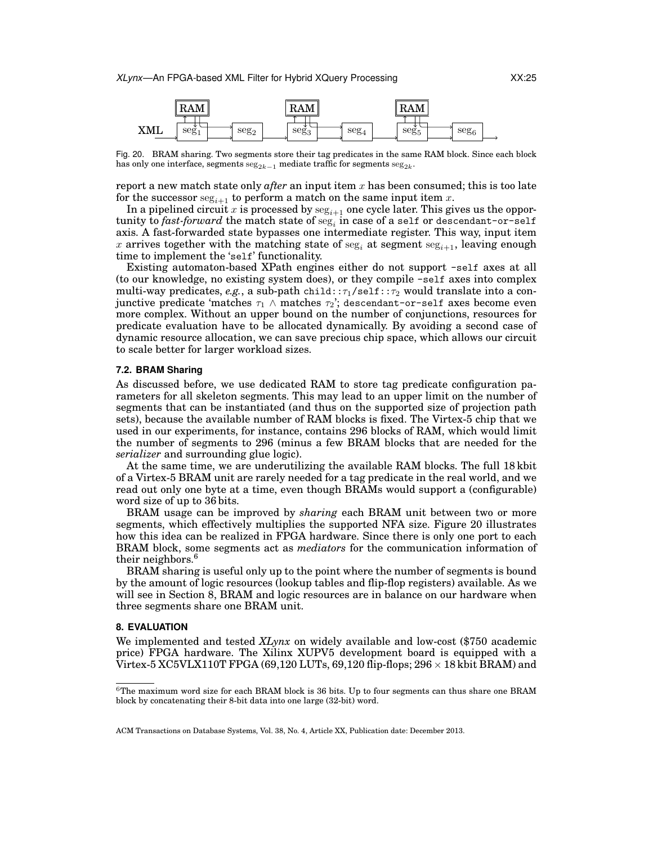

Fig. 20. BRAM sharing. Two segments store their tag predicates in the same RAM block. Since each block has only one interface, segments  $\mathrm{seg}_{2k-1}$  mediate traffic for segments  $\mathrm{seg}_{2k}.$ 

report a new match state only  $after$  an input item  $x$  has been consumed; this is too late for the successor  $\text{seg}_{i+1}$  to perform a match on the same input item x.

In a pipelined circuit x is processed by  $\text{seg}_{i+1}$  one cycle later. This gives us the oppor- $\tt{tunity to fast-forward}$  the match state of  $\mathrm{seg}_i$  in case of a self or descendant-or-self axis. A fast-forwarded state bypasses one intermediate register. This way, input item x arrives together with the matching state of seg<sub>i</sub> at segment seg<sub>i+1</sub>, leaving enough time to implement the 'self' functionality.

Existing automaton-based XPath engines either do not support -self axes at all (to our knowledge, no existing system does), or they compile -self axes into complex multi-way predicates,  $e.g.,$  a sub-path child:: $\tau_1$ /self:: $\tau_2$  would translate into a conjunctive predicate 'matches  $\tau_1 \wedge$  matches  $\tau_2$ '; descendant-or-self axes become even more complex. Without an upper bound on the number of conjunctions, resources for predicate evaluation have to be allocated dynamically. By avoiding a second case of dynamic resource allocation, we can save precious chip space, which allows our circuit to scale better for larger workload sizes.

# **7.2. BRAM Sharing**

As discussed before, we use dedicated RAM to store tag predicate configuration parameters for all skeleton segments. This may lead to an upper limit on the number of segments that can be instantiated (and thus on the supported size of projection path sets), because the available number of RAM blocks is fixed. The Virtex-5 chip that we used in our experiments, for instance, contains 296 blocks of RAM, which would limit the number of segments to 296 (minus a few BRAM blocks that are needed for the *serializer* and surrounding glue logic).

At the same time, we are underutilizing the available RAM blocks. The full 18 kbit of a Virtex-5 BRAM unit are rarely needed for a tag predicate in the real world, and we read out only one byte at a time, even though BRAMs would support a (configurable) word size of up to 36 bits.

BRAM usage can be improved by *sharing* each BRAM unit between two or more segments, which effectively multiplies the supported NFA size. Figure 20 illustrates how this idea can be realized in FPGA hardware. Since there is only one port to each BRAM block, some segments act as *mediators* for the communication information of their neighbors.<sup>6</sup>

BRAM sharing is useful only up to the point where the number of segments is bound by the amount of logic resources (lookup tables and flip-flop registers) available. As we will see in Section 8, BRAM and logic resources are in balance on our hardware when three segments share one BRAM unit.

#### **8. EVALUATION**

We implemented and tested *XLynx* on widely available and low-cost (\$750 academic price) FPGA hardware. The Xilinx XUPV5 development board is equipped with a Virtex-5 XC5VLX110T FPGA (69,120 LUTs, 69,120 flip-flops;  $296 \times 18$  kbit BRAM) and

 $6$ The maximum word size for each BRAM block is 36 bits. Up to four segments can thus share one BRAM block by concatenating their 8-bit data into one large (32-bit) word.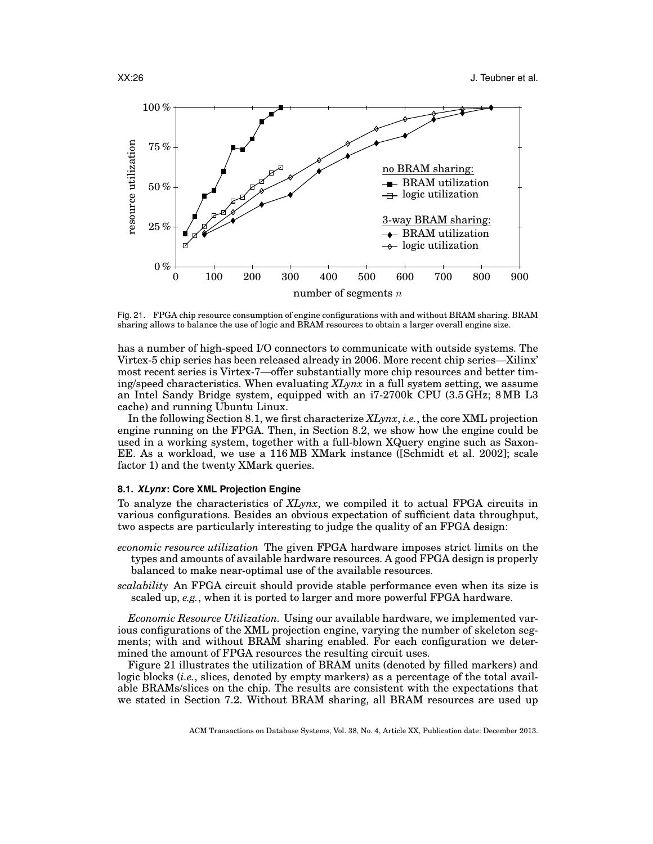

Fig. 21. FPGA chip resource consumption of engine configurations with and without BRAM sharing. BRAM sharing allows to balance the use of logic and BRAM resources to obtain a larger overall engine size.

has a number of high-speed I/O connectors to communicate with outside systems. The Virtex-5 chip series has been released already in 2006. More recent chip series—Xilinx' most recent series is Virtex-7—offer substantially more chip resources and better timing/speed characteristics. When evaluating *XLynx* in a full system setting, we assume an Intel Sandy Bridge system, equipped with an i7-2700k CPU (3.5 GHz; 8 MB L3 cache) and running Ubuntu Linux.

In the following Section 8.1, we first characterize *XLynx*, *i.e.*, the core XML projection engine running on the FPGA. Then, in Section 8.2, we show how the engine could be used in a working system, together with a full-blown XQuery engine such as Saxon-EE. As a workload, we use a 116 MB XMark instance ([Schmidt et al. 2002]; scale factor 1) and the twenty XMark queries.

#### **8.1.** *XLynx***: Core XML Projection Engine**

To analyze the characteristics of *XLynx*, we compiled it to actual FPGA circuits in various configurations. Besides an obvious expectation of sufficient data throughput, two aspects are particularly interesting to judge the quality of an FPGA design:

- *economic resource utilization* The given FPGA hardware imposes strict limits on the types and amounts of available hardware resources. A good FPGA design is properly balanced to make near-optimal use of the available resources.
- *scalability* An FPGA circuit should provide stable performance even when its size is scaled up, *e.g.*, when it is ported to larger and more powerful FPGA hardware.

*Economic Resource Utilization.* Using our available hardware, we implemented various configurations of the XML projection engine, varying the number of skeleton segments; with and without BRAM sharing enabled. For each configuration we determined the amount of FPGA resources the resulting circuit uses.

Figure 21 illustrates the utilization of BRAM units (denoted by filled markers) and logic blocks (*i.e.*, slices, denoted by empty markers) as a percentage of the total available BRAMs/slices on the chip. The results are consistent with the expectations that we stated in Section 7.2. Without BRAM sharing, all BRAM resources are used up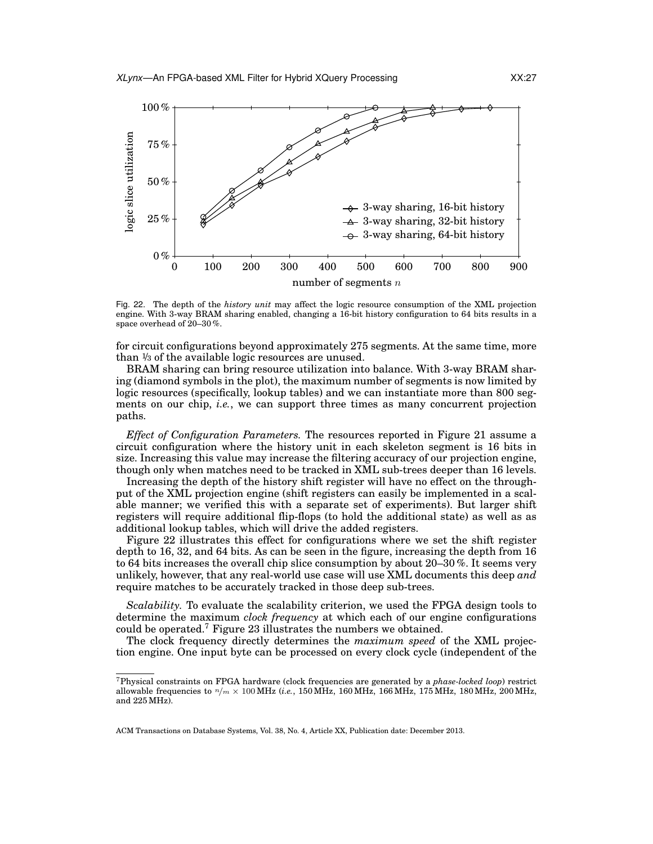

Fig. 22. The depth of the *history unit* may affect the logic resource consumption of the XML projection engine. With 3-way BRAM sharing enabled, changing a 16-bit history configuration to 64 bits results in a space overhead of 20–30 %.

for circuit configurations beyond approximately 275 segments. At the same time, more than <sup>1</sup>/<sup>3</sup> of the available logic resources are unused.

BRAM sharing can bring resource utilization into balance. With 3-way BRAM sharing (diamond symbols in the plot), the maximum number of segments is now limited by logic resources (specifically, lookup tables) and we can instantiate more than 800 segments on our chip, *i.e.*, we can support three times as many concurrent projection paths.

*Effect of Configuration Parameters.* The resources reported in Figure 21 assume a circuit configuration where the history unit in each skeleton segment is 16 bits in size. Increasing this value may increase the filtering accuracy of our projection engine, though only when matches need to be tracked in XML sub-trees deeper than 16 levels.

Increasing the depth of the history shift register will have no effect on the throughput of the XML projection engine (shift registers can easily be implemented in a scalable manner; we verified this with a separate set of experiments). But larger shift registers will require additional flip-flops (to hold the additional state) as well as as additional lookup tables, which will drive the added registers.

Figure 22 illustrates this effect for configurations where we set the shift register depth to 16, 32, and 64 bits. As can be seen in the figure, increasing the depth from 16 to 64 bits increases the overall chip slice consumption by about  $20-30\%$ . It seems very unlikely, however, that any real-world use case will use XML documents this deep *and* require matches to be accurately tracked in those deep sub-trees.

*Scalability.* To evaluate the scalability criterion, we used the FPGA design tools to determine the maximum *clock frequency* at which each of our engine configurations could be operated.<sup>7</sup> Figure 23 illustrates the numbers we obtained.

The clock frequency directly determines the *maximum speed* of the XML projection engine. One input byte can be processed on every clock cycle (independent of the

<sup>7</sup>Physical constraints on FPGA hardware (clock frequencies are generated by a *phase-locked loop*) restrict allowable frequencies to n/m × 100 MHz (*i.e.*, 150 MHz, 160 MHz, 166 MHz, 175 MHz, 180 MHz, 200 MHz, and 225 MHz).

ACM Transactions on Database Systems, Vol. 38, No. 4, Article XX, Publication date: December 2013.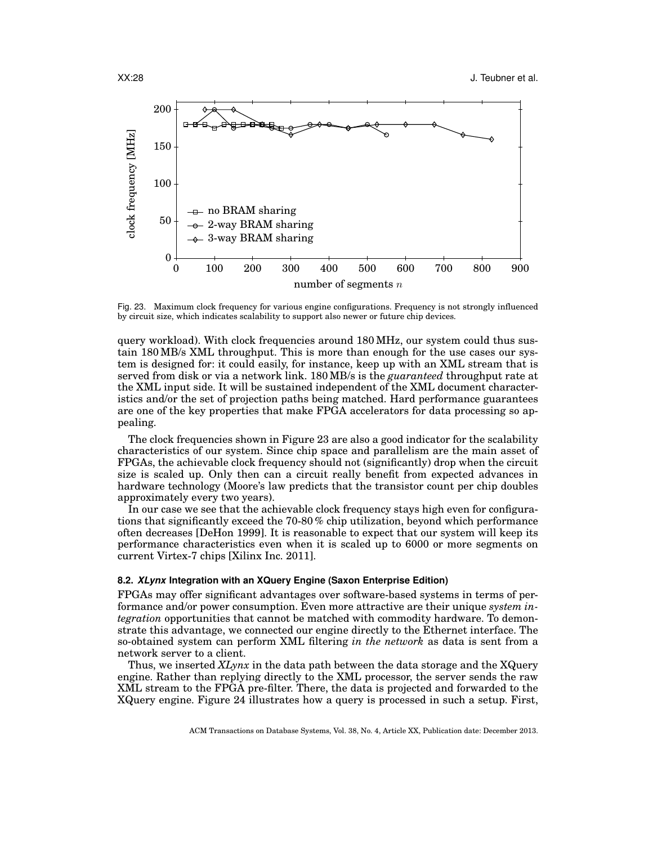

Fig. 23. Maximum clock frequency for various engine configurations. Frequency is not strongly influenced by circuit size, which indicates scalability to support also newer or future chip devices.

query workload). With clock frequencies around 180 MHz, our system could thus sustain 180 MB/s XML throughput. This is more than enough for the use cases our system is designed for: it could easily, for instance, keep up with an XML stream that is served from disk or via a network link. 180 MB/s is the *guaranteed* throughput rate at the XML input side. It will be sustained independent of the XML document characteristics and/or the set of projection paths being matched. Hard performance guarantees are one of the key properties that make FPGA accelerators for data processing so appealing.

The clock frequencies shown in Figure 23 are also a good indicator for the scalability characteristics of our system. Since chip space and parallelism are the main asset of FPGAs, the achievable clock frequency should not (significantly) drop when the circuit size is scaled up. Only then can a circuit really benefit from expected advances in hardware technology (Moore's law predicts that the transistor count per chip doubles approximately every two years).

In our case we see that the achievable clock frequency stays high even for configurations that significantly exceed the 70-80 % chip utilization, beyond which performance often decreases [DeHon 1999]. It is reasonable to expect that our system will keep its performance characteristics even when it is scaled up to 6000 or more segments on current Virtex-7 chips [Xilinx Inc. 2011].

## **8.2.** *XLynx* **Integration with an XQuery Engine (Saxon Enterprise Edition)**

FPGAs may offer significant advantages over software-based systems in terms of performance and/or power consumption. Even more attractive are their unique *system integration* opportunities that cannot be matched with commodity hardware. To demonstrate this advantage, we connected our engine directly to the Ethernet interface. The so-obtained system can perform XML filtering *in the network* as data is sent from a network server to a client.

Thus, we inserted *XLynx* in the data path between the data storage and the XQuery engine. Rather than replying directly to the XML processor, the server sends the raw XML stream to the FPGA pre-filter. There, the data is projected and forwarded to the XQuery engine. Figure 24 illustrates how a query is processed in such a setup. First,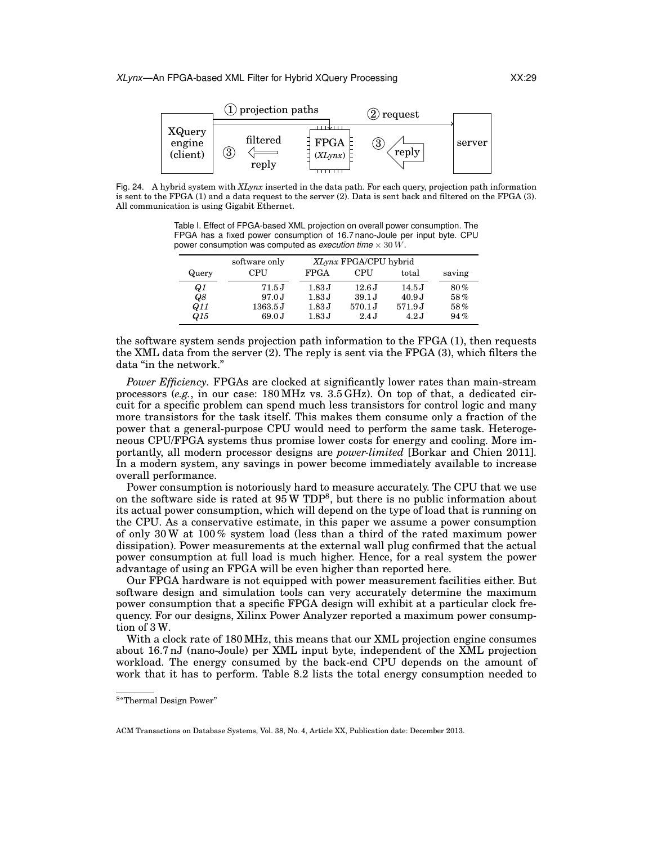

Fig. 24. A hybrid system with *XLynx* inserted in the data path. For each query, projection path information is sent to the FPGA (1) and a data request to the server (2). Data is sent back and filtered on the FPGA (3). All communication is using Gigabit Ethernet.

Table I. Effect of FPGA-based XML projection on overall power consumption. The FPGA has a fixed power consumption of 16.7 nano-Joule per input byte. CPU power consumption was computed as *execution time* × 30 W.

|                 | software only | XLynx FPGA/CPU hybrid |                   |        |        |
|-----------------|---------------|-----------------------|-------------------|--------|--------|
| Query           | CPU           | <b>FPGA</b>           | <b>CPU</b>        | total  | saving |
| Q1              | 71.5J         | 1.83 J                | 12.6J             | 14.5J  | 80%    |
| Q8              | 97.0J         | 1.83 J                | 39.1 J            | 40.9J  | 58%    |
| Q11             | 1363.5J       | 1.83 J                | $570.1 \text{ J}$ | 571.9J | 58%    |
| Q <sub>15</sub> | 69.0J         | 1.83 J                | 2.4J              | 4.2J   | 94%    |

the software system sends projection path information to the FPGA (1), then requests the XML data from the server (2). The reply is sent via the FPGA (3), which filters the data "in the network."

*Power Efficiency.* FPGAs are clocked at significantly lower rates than main-stream processors (*e.g.*, in our case: 180 MHz vs. 3.5 GHz). On top of that, a dedicated circuit for a specific problem can spend much less transistors for control logic and many more transistors for the task itself. This makes them consume only a fraction of the power that a general-purpose CPU would need to perform the same task. Heterogeneous CPU/FPGA systems thus promise lower costs for energy and cooling. More importantly, all modern processor designs are *power-limited* [Borkar and Chien 2011]. In a modern system, any savings in power become immediately available to increase overall performance.

Power consumption is notoriously hard to measure accurately. The CPU that we use on the software side is rated at  $95 \text{ W TDP}^8$ , but there is no public information about its actual power consumption, which will depend on the type of load that is running on the CPU. As a conservative estimate, in this paper we assume a power consumption of only 30 W at 100 % system load (less than a third of the rated maximum power dissipation). Power measurements at the external wall plug confirmed that the actual power consumption at full load is much higher. Hence, for a real system the power advantage of using an FPGA will be even higher than reported here.

Our FPGA hardware is not equipped with power measurement facilities either. But software design and simulation tools can very accurately determine the maximum power consumption that a specific FPGA design will exhibit at a particular clock frequency. For our designs, Xilinx Power Analyzer reported a maximum power consumption of 3 W.

With a clock rate of 180 MHz, this means that our XML projection engine consumes about 16.7 nJ (nano-Joule) per XML input byte, independent of the XML projection workload. The energy consumed by the back-end CPU depends on the amount of work that it has to perform. Table 8.2 lists the total energy consumption needed to

<sup>8</sup> "Thermal Design Power"

ACM Transactions on Database Systems, Vol. 38, No. 4, Article XX, Publication date: December 2013.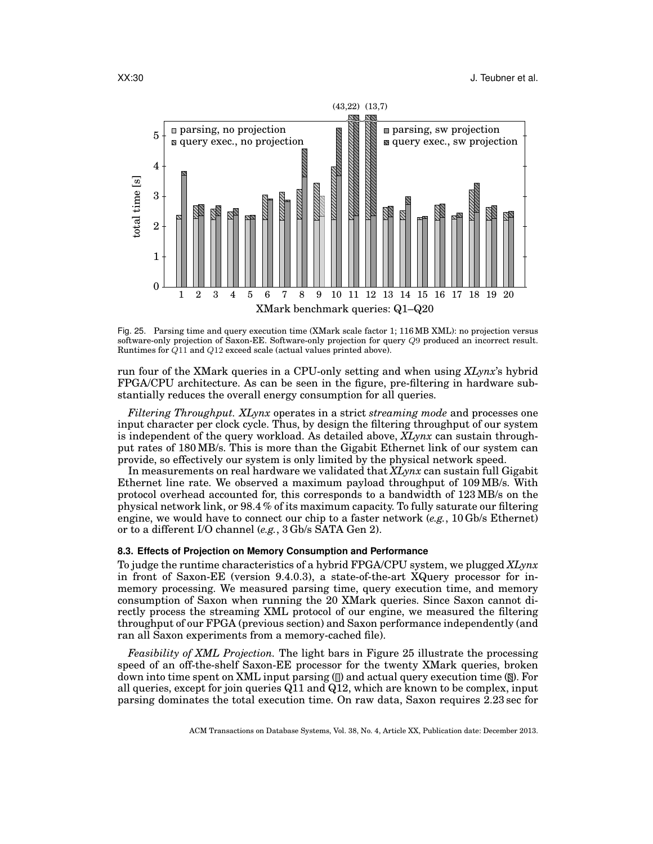

Fig. 25. Parsing time and query execution time (XMark scale factor 1; 116 MB XML): no projection versus software-only projection of Saxon-EE. Software-only projection for query Q9 produced an incorrect result. Runtimes for Q11 and Q12 exceed scale (actual values printed above).

run four of the XMark queries in a CPU-only setting and when using *XLynx*'s hybrid FPGA/CPU architecture. As can be seen in the figure, pre-filtering in hardware substantially reduces the overall energy consumption for all queries.

*Filtering Throughput. XLynx* operates in a strict *streaming mode* and processes one input character per clock cycle. Thus, by design the filtering throughput of our system is independent of the query workload. As detailed above, *XLynx* can sustain throughput rates of 180 MB/s. This is more than the Gigabit Ethernet link of our system can provide, so effectively our system is only limited by the physical network speed.

In measurements on real hardware we validated that *XLynx* can sustain full Gigabit Ethernet line rate. We observed a maximum payload throughput of 109 MB/s. With protocol overhead accounted for, this corresponds to a bandwidth of 123 MB/s on the physical network link, or 98.4 % of its maximum capacity. To fully saturate our filtering engine, we would have to connect our chip to a faster network (*e.g.*, 10 Gb/s Ethernet) or to a different I/O channel (*e.g.*, 3 Gb/s SATA Gen 2).

# **8.3. Effects of Projection on Memory Consumption and Performance**

To judge the runtime characteristics of a hybrid FPGA/CPU system, we plugged *XLynx* in front of Saxon-EE (version 9.4.0.3), a state-of-the-art XQuery processor for inmemory processing. We measured parsing time, query execution time, and memory consumption of Saxon when running the 20 XMark queries. Since Saxon cannot directly process the streaming XML protocol of our engine, we measured the filtering throughput of our FPGA (previous section) and Saxon performance independently (and ran all Saxon experiments from a memory-cached file).

*Feasibility of XML Projection.* The light bars in Figure 25 illustrate the processing speed of an off-the-shelf Saxon-EE processor for the twenty XMark queries, broken down into time spent on XML input parsing  $\mathbb{Q}$  and actual query execution time  $\mathbb{Q}$ . For all queries, except for join queries Q11 and Q12, which are known to be complex, input parsing dominates the total execution time. On raw data, Saxon requires 2.23 sec for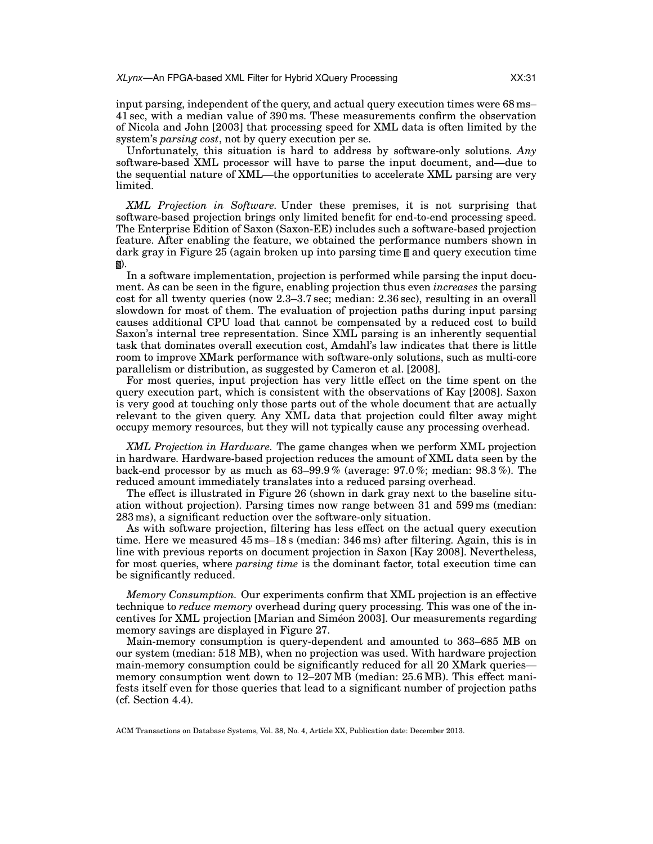input parsing, independent of the query, and actual query execution times were 68 ms– 41 sec, with a median value of 390 ms. These measurements confirm the observation of Nicola and John [2003] that processing speed for XML data is often limited by the system's *parsing cost*, not by query execution per se.

Unfortunately, this situation is hard to address by software-only solutions. *Any* software-based XML processor will have to parse the input document, and—due to the sequential nature of XML—the opportunities to accelerate XML parsing are very limited.

*XML Projection in Software.* Under these premises, it is not surprising that software-based projection brings only limited benefit for end-to-end processing speed. The Enterprise Edition of Saxon (Saxon-EE) includes such a software-based projection feature. After enabling the feature, we obtained the performance numbers shown in dark gray in Figure 25 (again broken up into parsing time  $\Box$  and query execution time ).

In a software implementation, projection is performed while parsing the input document. As can be seen in the figure, enabling projection thus even *increases* the parsing cost for all twenty queries (now 2.3–3.7 sec; median: 2.36 sec), resulting in an overall slowdown for most of them. The evaluation of projection paths during input parsing causes additional CPU load that cannot be compensated by a reduced cost to build Saxon's internal tree representation. Since XML parsing is an inherently sequential task that dominates overall execution cost, Amdahl's law indicates that there is little room to improve XMark performance with software-only solutions, such as multi-core parallelism or distribution, as suggested by Cameron et al. [2008].

For most queries, input projection has very little effect on the time spent on the query execution part, which is consistent with the observations of Kay [2008]. Saxon is very good at touching only those parts out of the whole document that are actually relevant to the given query. Any XML data that projection could filter away might occupy memory resources, but they will not typically cause any processing overhead.

*XML Projection in Hardware.* The game changes when we perform XML projection in hardware. Hardware-based projection reduces the amount of XML data seen by the back-end processor by as much as 63–99.9 % (average: 97.0 %; median: 98.3 %). The reduced amount immediately translates into a reduced parsing overhead.

The effect is illustrated in Figure 26 (shown in dark gray next to the baseline situation without projection). Parsing times now range between 31 and 599 ms (median: 283 ms), a significant reduction over the software-only situation.

As with software projection, filtering has less effect on the actual query execution time. Here we measured 45 ms–18 s (median: 346 ms) after filtering. Again, this is in line with previous reports on document projection in Saxon [Kay 2008]. Nevertheless, for most queries, where *parsing time* is the dominant factor, total execution time can be significantly reduced.

*Memory Consumption.* Our experiments confirm that XML projection is an effective technique to *reduce memory* overhead during query processing. This was one of the incentives for XML projection [Marian and Simeon 2003]. Our measurements regarding ´ memory savings are displayed in Figure 27.

Main-memory consumption is query-dependent and amounted to 363–685 MB on our system (median: 518 MB), when no projection was used. With hardware projection main-memory consumption could be significantly reduced for all 20 XMark queries memory consumption went down to 12–207 MB (median: 25.6 MB). This effect manifests itself even for those queries that lead to a significant number of projection paths (cf. Section 4.4).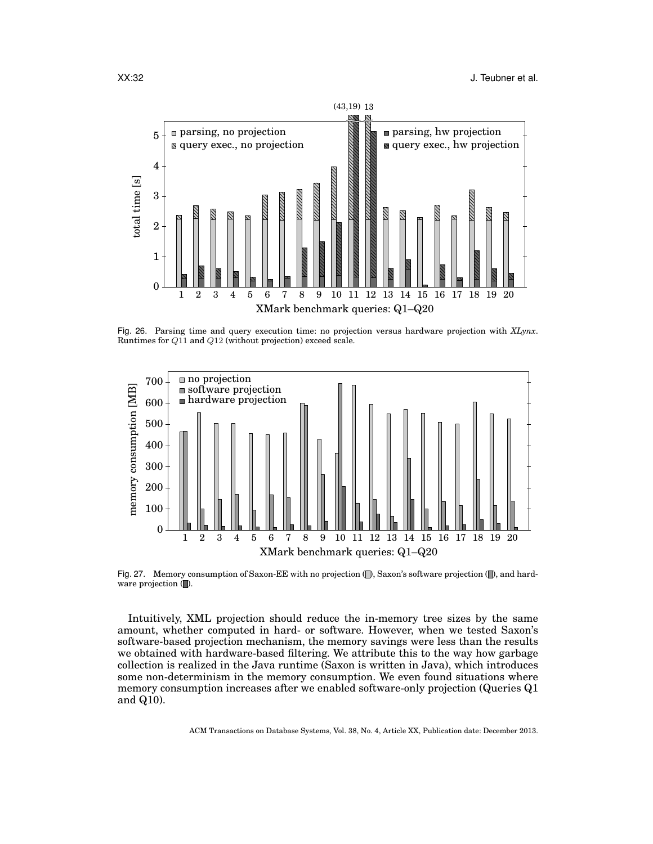

Fig. 26. Parsing time and query execution time: no projection versus hardware projection with *XLynx*. Runtimes for Q11 and Q12 (without projection) exceed scale.



Fig. 27. Memory consumption of Saxon-EE with no projection  $\langle \rangle$ , Saxon's software projection  $\langle \rangle$ , and hardware projection  $(\blacksquare)$ .

Intuitively, XML projection should reduce the in-memory tree sizes by the same amount, whether computed in hard- or software. However, when we tested Saxon's software-based projection mechanism, the memory savings were less than the results we obtained with hardware-based filtering. We attribute this to the way how garbage collection is realized in the Java runtime (Saxon is written in Java), which introduces some non-determinism in the memory consumption. We even found situations where memory consumption increases after we enabled software-only projection (Queries Q1 and Q10).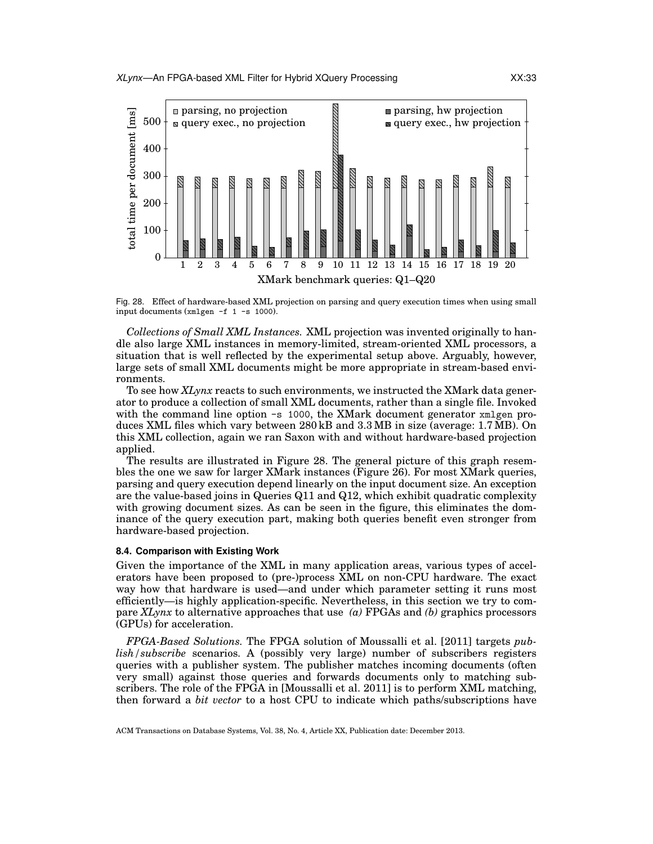

Fig. 28. Effect of hardware-based XML projection on parsing and query execution times when using small input documents (xmlgen -f 1 -s 1000).

*Collections of Small XML Instances.* XML projection was invented originally to handle also large XML instances in memory-limited, stream-oriented XML processors, a situation that is well reflected by the experimental setup above. Arguably, however, large sets of small XML documents might be more appropriate in stream-based environments.

To see how *XLynx* reacts to such environments, we instructed the XMark data generator to produce a collection of small XML documents, rather than a single file. Invoked with the command line option  $-\text{s}$  1000, the XMark document generator xmlgen produces XML files which vary between 280 kB and 3.3 MB in size (average: 1.7 MB). On this XML collection, again we ran Saxon with and without hardware-based projection applied.

The results are illustrated in Figure 28. The general picture of this graph resembles the one we saw for larger XMark instances (Figure 26). For most XMark queries, parsing and query execution depend linearly on the input document size. An exception are the value-based joins in Queries Q11 and Q12, which exhibit quadratic complexity with growing document sizes. As can be seen in the figure, this eliminates the dominance of the query execution part, making both queries benefit even stronger from hardware-based projection.

# **8.4. Comparison with Existing Work**

Given the importance of the XML in many application areas, various types of accelerators have been proposed to (pre-)process XML on non-CPU hardware. The exact way how that hardware is used—and under which parameter setting it runs most efficiently—is highly application-specific. Nevertheless, in this section we try to compare *XLynx* to alternative approaches that use *(a)* FPGAs and *(b)* graphics processors (GPUs) for acceleration.

*FPGA-Based Solutions.* The FPGA solution of Moussalli et al. [2011] targets *publish/subscribe* scenarios. A (possibly very large) number of subscribers registers queries with a publisher system. The publisher matches incoming documents (often very small) against those queries and forwards documents only to matching subscribers. The role of the FPGA in [Moussalli et al. 2011] is to perform XML matching, then forward a *bit vector* to a host CPU to indicate which paths/subscriptions have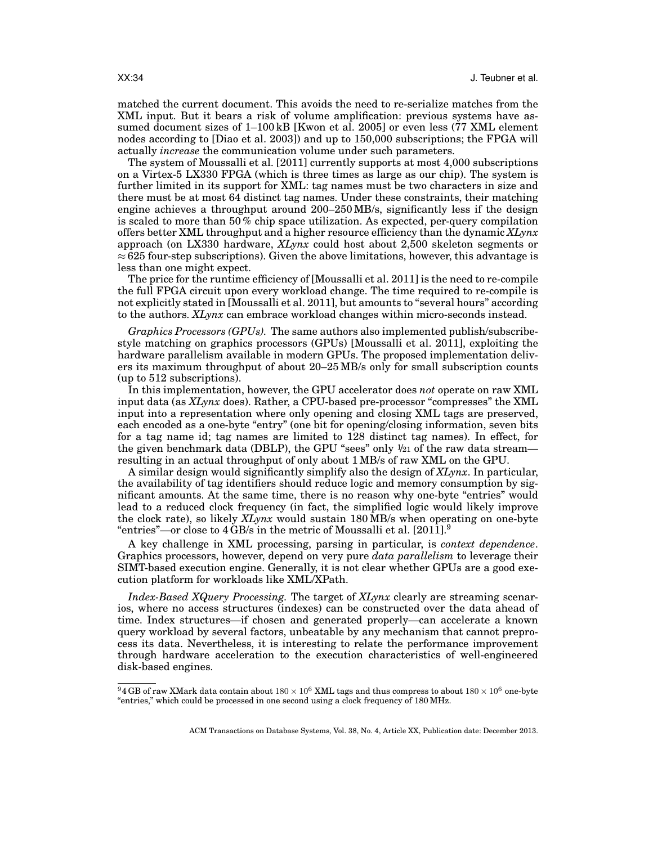matched the current document. This avoids the need to re-serialize matches from the XML input. But it bears a risk of volume amplification: previous systems have assumed document sizes of 1–100 kB [Kwon et al. 2005] or even less (77 XML element nodes according to [Diao et al. 2003]) and up to 150,000 subscriptions; the FPGA will actually *increase* the communication volume under such parameters.

The system of Moussalli et al. [2011] currently supports at most 4,000 subscriptions on a Virtex-5 LX330 FPGA (which is three times as large as our chip). The system is further limited in its support for XML: tag names must be two characters in size and there must be at most 64 distinct tag names. Under these constraints, their matching engine achieves a throughput around 200–250 MB/s, significantly less if the design is scaled to more than 50 % chip space utilization. As expected, per-query compilation offers better XML throughput and a higher resource efficiency than the dynamic *XLynx* approach (on LX330 hardware, *XLynx* could host about 2,500 skeleton segments or  $\approx$  625 four-step subscriptions). Given the above limitations, however, this advantage is less than one might expect.

The price for the runtime efficiency of [Moussalli et al. 2011] is the need to re-compile the full FPGA circuit upon every workload change. The time required to re-compile is not explicitly stated in [Moussalli et al. 2011], but amounts to "several hours" according to the authors. *XLynx* can embrace workload changes within micro-seconds instead.

*Graphics Processors (GPUs).* The same authors also implemented publish/subscribestyle matching on graphics processors (GPUs) [Moussalli et al. 2011], exploiting the hardware parallelism available in modern GPUs. The proposed implementation delivers its maximum throughput of about 20–25 MB/s only for small subscription counts (up to 512 subscriptions).

In this implementation, however, the GPU accelerator does *not* operate on raw XML input data (as *XLynx* does). Rather, a CPU-based pre-processor "compresses" the XML input into a representation where only opening and closing XML tags are preserved, each encoded as a one-byte "entry" (one bit for opening/closing information, seven bits for a tag name id; tag names are limited to 128 distinct tag names). In effect, for the given benchmark data (DBLP), the GPU "sees" only  $\frac{1}{21}$  of the raw data streamresulting in an actual throughput of only about 1 MB/s of raw XML on the GPU.

A similar design would significantly simplify also the design of *XLynx*. In particular, the availability of tag identifiers should reduce logic and memory consumption by significant amounts. At the same time, there is no reason why one-byte "entries" would lead to a reduced clock frequency (in fact, the simplified logic would likely improve the clock rate), so likely *XLynx* would sustain 180 MB/s when operating on one-byte "entries"—or close to  $4$  GB/s in the metric of Moussalli et al. [2011].<sup>9</sup>

A key challenge in XML processing, parsing in particular, is *context dependence*. Graphics processors, however, depend on very pure *data parallelism* to leverage their SIMT-based execution engine. Generally, it is not clear whether GPUs are a good execution platform for workloads like XML/XPath.

*Index-Based XQuery Processing.* The target of *XLynx* clearly are streaming scenarios, where no access structures (indexes) can be constructed over the data ahead of time. Index structures—if chosen and generated properly—can accelerate a known query workload by several factors, unbeatable by any mechanism that cannot preprocess its data. Nevertheless, it is interesting to relate the performance improvement through hardware acceleration to the execution characteristics of well-engineered disk-based engines.

 $94$  GB of raw XMark data contain about  $180 \times 10^6$  XML tags and thus compress to about  $180 \times 10^6$  one-byte "entries," which could be processed in one second using a clock frequency of 180 MHz.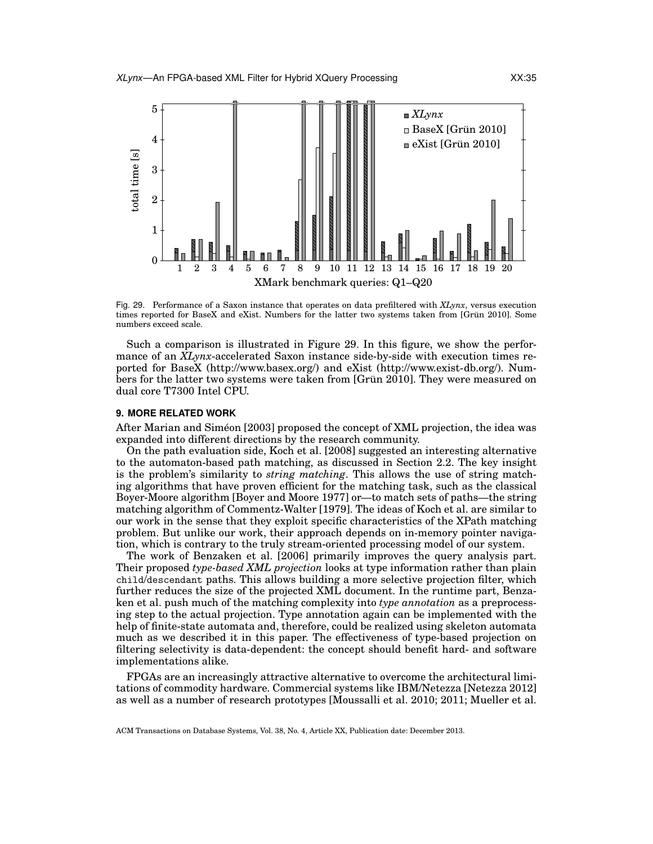

Fig. 29. Performance of a Saxon instance that operates on data prefiltered with *XLynx*, versus execution times reported for BaseX and eXist. Numbers for the latter two systems taken from [Grün 2010]. Some numbers exceed scale.

Such a comparison is illustrated in Figure 29. In this figure, we show the performance of an *XLynx*-accelerated Saxon instance side-by-side with execution times reported for BaseX (http://www.basex.org/) and eXist (http://www.exist-db.org/). Numbers for the latter two systems were taken from [Grün 2010]. They were measured on dual core T7300 Intel CPU.

#### **9. MORE RELATED WORK**

After Marian and Siméon [2003] proposed the concept of XML projection, the idea was expanded into different directions by the research community.

On the path evaluation side, Koch et al. [2008] suggested an interesting alternative to the automaton-based path matching, as discussed in Section 2.2. The key insight is the problem's similarity to *string matching*. This allows the use of string matching algorithms that have proven efficient for the matching task, such as the classical Boyer-Moore algorithm [Boyer and Moore 1977] or—to match sets of paths—the string matching algorithm of Commentz-Walter [1979]. The ideas of Koch et al. are similar to our work in the sense that they exploit specific characteristics of the XPath matching problem. But unlike our work, their approach depends on in-memory pointer navigation, which is contrary to the truly stream-oriented processing model of our system.

The work of Benzaken et al. [2006] primarily improves the query analysis part. Their proposed *type-based XML projection* looks at type information rather than plain child/descendant paths. This allows building a more selective projection filter, which further reduces the size of the projected XML document. In the runtime part, Benzaken et al. push much of the matching complexity into *type annotation* as a preprocessing step to the actual projection. Type annotation again can be implemented with the help of finite-state automata and, therefore, could be realized using skeleton automata much as we described it in this paper. The effectiveness of type-based projection on filtering selectivity is data-dependent: the concept should benefit hard- and software implementations alike.

FPGAs are an increasingly attractive alternative to overcome the architectural limitations of commodity hardware. Commercial systems like IBM/Netezza [Netezza 2012] as well as a number of research prototypes [Moussalli et al. 2010; 2011; Mueller et al.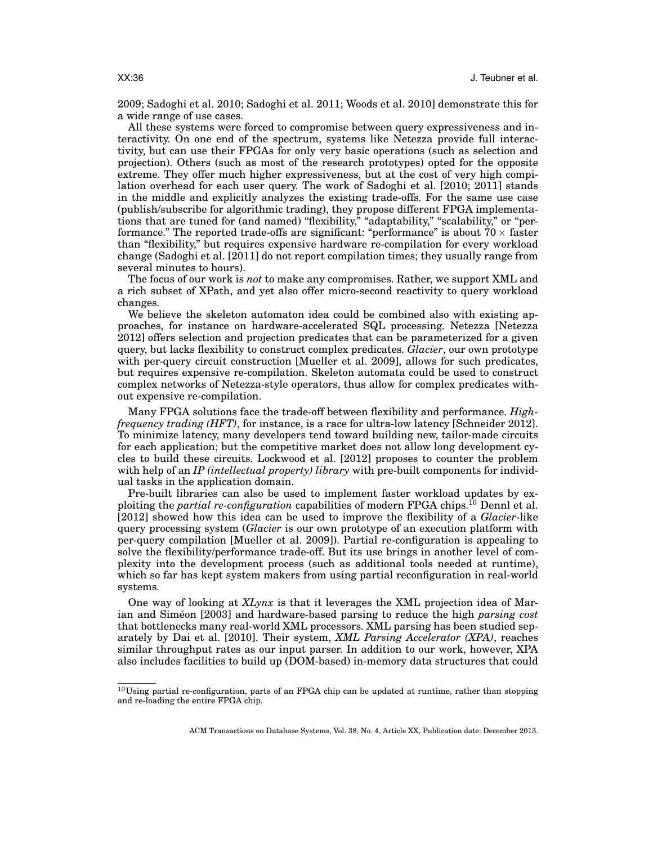2009; Sadoghi et al. 2010; Sadoghi et al. 2011; Woods et al. 2010] demonstrate this for a wide range of use cases.

All these systems were forced to compromise between query expressiveness and interactivity. On one end of the spectrum, systems like Netezza provide full interactivity, but can use their FPGAs for only very basic operations (such as selection and projection). Others (such as most of the research prototypes) opted for the opposite extreme. They offer much higher expressiveness, but at the cost of very high compilation overhead for each user query. The work of Sadoghi et al. [2010; 2011] stands in the middle and explicitly analyzes the existing trade-offs. For the same use case (publish/subscribe for algorithmic trading), they propose different FPGA implementations that are tuned for (and named) "flexibility," "adaptability," "scalability," or "performance." The reported trade-offs are significant: "performance" is about  $70 \times$  faster than "flexibility," but requires expensive hardware re-compilation for every workload change (Sadoghi et al. [2011] do not report compilation times; they usually range from several minutes to hours).

The focus of our work is *not* to make any compromises. Rather, we support XML and a rich subset of XPath, and yet also offer micro-second reactivity to query workload changes.

We believe the skeleton automaton idea could be combined also with existing approaches, for instance on hardware-accelerated SQL processing. Netezza [Netezza 2012] offers selection and projection predicates that can be parameterized for a given query, but lacks flexibility to construct complex predicates. *Glacier*, our own prototype with per-query circuit construction [Mueller et al. 2009], allows for such predicates, but requires expensive re-compilation. Skeleton automata could be used to construct complex networks of Netezza-style operators, thus allow for complex predicates without expensive re-compilation.

Many FPGA solutions face the trade-off between flexibility and performance. *Highfrequency trading (HFT)*, for instance, is a race for ultra-low latency [Schneider 2012]. To minimize latency, many developers tend toward building new, tailor-made circuits for each application; but the competitive market does not allow long development cycles to build these circuits. Lockwood et al. [2012] proposes to counter the problem with help of an *IP (intellectual property) library* with pre-built components for individual tasks in the application domain.

Pre-built libraries can also be used to implement faster workload updates by exploiting the *partial re-configuration* capabilities of modern FPGA chips.<sup>10</sup> Dennl et al. [2012] showed how this idea can be used to improve the flexibility of a *Glacier*-like query processing system (*Glacier* is our own prototype of an execution platform with per-query compilation [Mueller et al. 2009]). Partial re-configuration is appealing to solve the flexibility/performance trade-off. But its use brings in another level of complexity into the development process (such as additional tools needed at runtime), which so far has kept system makers from using partial reconfiguration in real-world systems.

One way of looking at *XLynx* is that it leverages the XML projection idea of Marian and Simeon [2003] and hardware-based parsing to reduce the high *parsing cost* that bottlenecks many real-world XML processors. XML parsing has been studied separately by Dai et al. [2010]. Their system, *XML Parsing Accelerator (XPA)*, reaches similar throughput rates as our input parser. In addition to our work, however, XPA also includes facilities to build up (DOM-based) in-memory data structures that could

 $10$ Using partial re-configuration, parts of an FPGA chip can be updated at runtime, rather than stopping and re-loading the entire FPGA chip.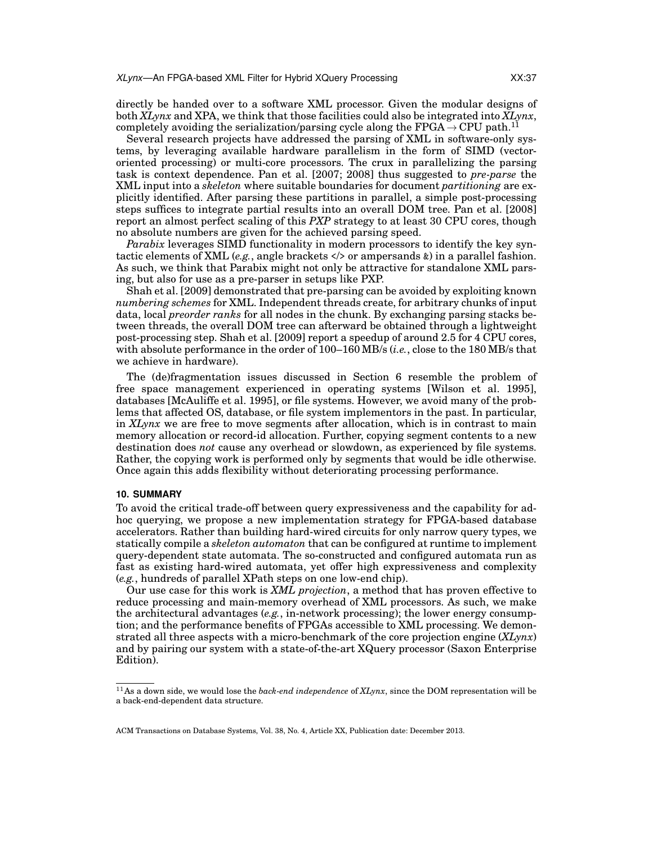directly be handed over to a software XML processor. Given the modular designs of both *XLynx* and XPA, we think that those facilities could also be integrated into *XLynx*, completely avoiding the serialization/parsing cycle along the FPGA  $\rightarrow$  CPU path.<sup>11</sup>

Several research projects have addressed the parsing of XML in software-only systems, by leveraging available hardware parallelism in the form of SIMD (vectororiented processing) or multi-core processors. The crux in parallelizing the parsing task is context dependence. Pan et al. [2007; 2008] thus suggested to *pre-parse* the XML input into a *skeleton* where suitable boundaries for document *partitioning* are explicitly identified. After parsing these partitions in parallel, a simple post-processing steps suffices to integrate partial results into an overall DOM tree. Pan et al. [2008] report an almost perfect scaling of this *PXP* strategy to at least 30 CPU cores, though no absolute numbers are given for the achieved parsing speed.

*Parabix* leverages SIMD functionality in modern processors to identify the key syntactic elements of XML (*e.g.*, angle brackets </> or ampersands &) in a parallel fashion. As such, we think that Parabix might not only be attractive for standalone XML parsing, but also for use as a pre-parser in setups like PXP.

Shah et al. [2009] demonstrated that pre-parsing can be avoided by exploiting known *numbering schemes* for XML. Independent threads create, for arbitrary chunks of input data, local *preorder ranks* for all nodes in the chunk. By exchanging parsing stacks between threads, the overall DOM tree can afterward be obtained through a lightweight post-processing step. Shah et al. [2009] report a speedup of around 2.5 for 4 CPU cores, with absolute performance in the order of 100–160 MB/s (*i.e.*, close to the 180 MB/s that we achieve in hardware).

The (de)fragmentation issues discussed in Section 6 resemble the problem of free space management experienced in operating systems [Wilson et al. 1995], databases [McAuliffe et al. 1995], or file systems. However, we avoid many of the problems that affected OS, database, or file system implementors in the past. In particular, in *XLynx* we are free to move segments after allocation, which is in contrast to main memory allocation or record-id allocation. Further, copying segment contents to a new destination does *not* cause any overhead or slowdown, as experienced by file systems. Rather, the copying work is performed only by segments that would be idle otherwise. Once again this adds flexibility without deteriorating processing performance.

#### **10. SUMMARY**

To avoid the critical trade-off between query expressiveness and the capability for adhoc querying, we propose a new implementation strategy for FPGA-based database accelerators. Rather than building hard-wired circuits for only narrow query types, we statically compile a *skeleton automaton* that can be configured at runtime to implement query-dependent state automata. The so-constructed and configured automata run as fast as existing hard-wired automata, yet offer high expressiveness and complexity (*e.g.*, hundreds of parallel XPath steps on one low-end chip).

Our use case for this work is *XML projection*, a method that has proven effective to reduce processing and main-memory overhead of XML processors. As such, we make the architectural advantages (*e.g.*, in-network processing); the lower energy consumption; and the performance benefits of FPGAs accessible to XML processing. We demonstrated all three aspects with a micro-benchmark of the core projection engine (*XLynx*) and by pairing our system with a state-of-the-art XQuery processor (Saxon Enterprise Edition).

<sup>11</sup>As a down side, we would lose the *back-end independence* of *XLynx*, since the DOM representation will be a back-end-dependent data structure.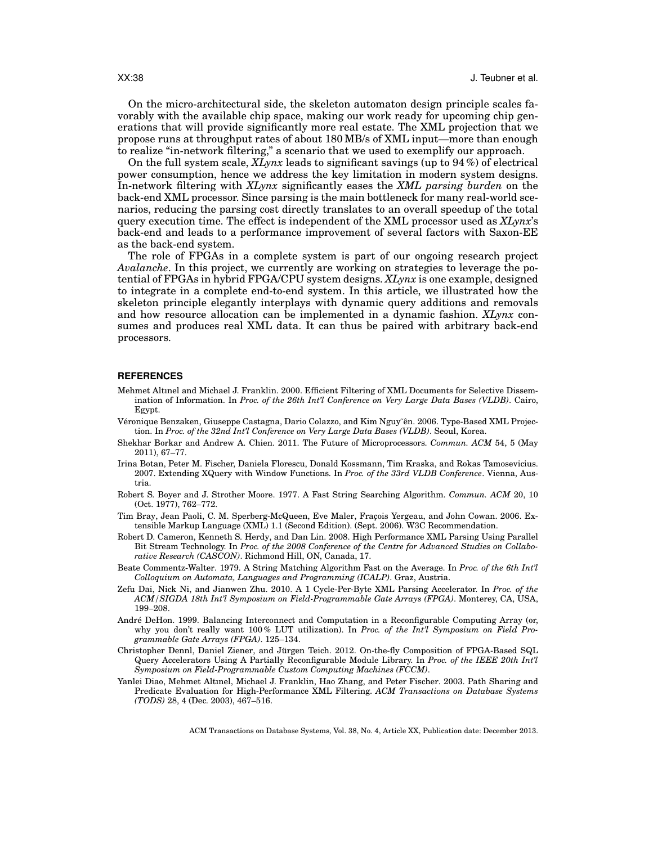On the micro-architectural side, the skeleton automaton design principle scales favorably with the available chip space, making our work ready for upcoming chip generations that will provide significantly more real estate. The XML projection that we propose runs at throughput rates of about 180 MB/s of XML input—more than enough to realize "in-network filtering," a scenario that we used to exemplify our approach.

On the full system scale, *XLynx* leads to significant savings (up to 94 %) of electrical power consumption, hence we address the key limitation in modern system designs. In-network filtering with *XLynx* significantly eases the *XML parsing burden* on the back-end XML processor. Since parsing is the main bottleneck for many real-world scenarios, reducing the parsing cost directly translates to an overall speedup of the total query execution time. The effect is independent of the XML processor used as *XLynx*'s back-end and leads to a performance improvement of several factors with Saxon-EE as the back-end system.

The role of FPGAs in a complete system is part of our ongoing research project *Avalanche*. In this project, we currently are working on strategies to leverage the potential of FPGAs in hybrid FPGA/CPU system designs. *XLynx* is one example, designed to integrate in a complete end-to-end system. In this article, we illustrated how the skeleton principle elegantly interplays with dynamic query additions and removals and how resource allocation can be implemented in a dynamic fashion. *XLynx* consumes and produces real XML data. It can thus be paired with arbitrary back-end processors.

#### **REFERENCES**

- Mehmet Altınel and Michael J. Franklin. 2000. Efficient Filtering of XML Documents for Selective Dissemination of Information. In *Proc. of the 26th Int'l Conference on Very Large Data Bases (VLDB)*. Cairo, Egypt.
- Véronique Benzaken, Giuseppe Castagna, Dario Colazzo, and Kim Nguy ên. 2006. Type-Based XML Projection. In *Proc. of the 32nd Int'l Conference on Very Large Data Bases (VLDB)*. Seoul, Korea.
- Shekhar Borkar and Andrew A. Chien. 2011. The Future of Microprocessors. *Commun. ACM* 54, 5 (May 2011), 67–77.
- Irina Botan, Peter M. Fischer, Daniela Florescu, Donald Kossmann, Tim Kraska, and Rokas Tamosevicius. 2007. Extending XQuery with Window Functions. In *Proc. of the 33rd VLDB Conference*. Vienna, Austria.
- Robert S. Boyer and J. Strother Moore. 1977. A Fast String Searching Algorithm. *Commun. ACM* 20, 10 (Oct. 1977), 762–772.
- Tim Bray, Jean Paoli, C. M. Sperberg-McQueen, Eve Maler, Fraçois Yergeau, and John Cowan. 2006. Extensible Markup Language (XML) 1.1 (Second Edition). (Sept. 2006). W3C Recommendation.
- Robert D. Cameron, Kenneth S. Herdy, and Dan Lin. 2008. High Performance XML Parsing Using Parallel Bit Stream Technology. In *Proc. of the 2008 Conference of the Centre for Advanced Studies on Collaborative Research (CASCON)*. Richmond Hill, ON, Canada, 17.
- Beate Commentz-Walter. 1979. A String Matching Algorithm Fast on the Average. In *Proc. of the 6th Int'l Colloquium on Automata, Languages and Programming (ICALP)*. Graz, Austria.
- Zefu Dai, Nick Ni, and Jianwen Zhu. 2010. A 1 Cycle-Per-Byte XML Parsing Accelerator. In *Proc. of the ACM/SIGDA 18th Int'l Symposium on Field-Programmable Gate Arrays (FPGA)*. Monterey, CA, USA, 199–208.
- Andre DeHon. 1999. Balancing Interconnect and Computation in a Reconfigurable Computing Array (or, ´ why you don't really want 100 % LUT utilization). In *Proc. of the Int'l Symposium on Field Programmable Gate Arrays (FPGA)*. 125–134.
- Christopher Dennl, Daniel Ziener, and Jurgen Teich. 2012. On-the-fly Composition of FPGA-Based SQL ¨ Query Accelerators Using A Partially Reconfigurable Module Library. In *Proc. of the IEEE 20th Int'l Symposium on Field-Programmable Custom Computing Machines (FCCM)*.
- Yanlei Diao, Mehmet Altınel, Michael J. Franklin, Hao Zhang, and Peter Fischer. 2003. Path Sharing and Predicate Evaluation for High-Performance XML Filtering. *ACM Transactions on Database Systems (TODS)* 28, 4 (Dec. 2003), 467–516.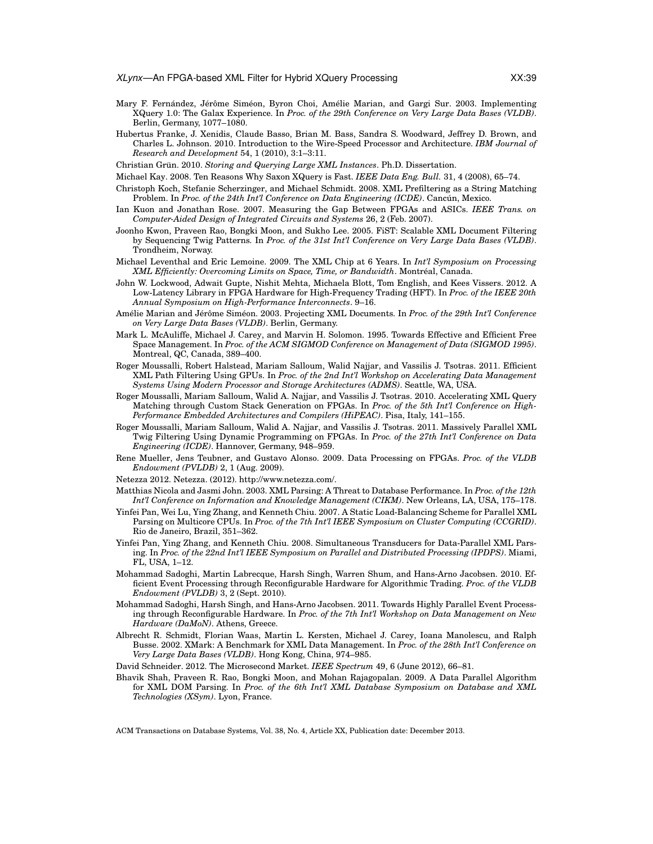- Mary F. Fernández, Jérôme Siméon, Byron Choi, Amélie Marian, and Gargi Sur. 2003. Implementing XQuery 1.0: The Galax Experience. In *Proc. of the 29th Conference on Very Large Data Bases (VLDB)*. Berlin, Germany, 1077–1080.
- Hubertus Franke, J. Xenidis, Claude Basso, Brian M. Bass, Sandra S. Woodward, Jeffrey D. Brown, and Charles L. Johnson. 2010. Introduction to the Wire-Speed Processor and Architecture. *IBM Journal of Research and Development* 54, 1 (2010), 3:1–3:11.
- Christian Grün. 2010. Storing and Querying Large XML Instances. Ph.D. Dissertation.
- Michael Kay. 2008. Ten Reasons Why Saxon XQuery is Fast. *IEEE Data Eng. Bull.* 31, 4 (2008), 65–74.
- Christoph Koch, Stefanie Scherzinger, and Michael Schmidt. 2008. XML Prefiltering as a String Matching Problem. In Proc. of the 24th Int'l Conference on Data Engineering (ICDE). Cancún, Mexico.
- Ian Kuon and Jonathan Rose. 2007. Measuring the Gap Between FPGAs and ASICs. *IEEE Trans. on Computer-Aided Design of Integrated Circuits and Systems* 26, 2 (Feb. 2007).
- Joonho Kwon, Praveen Rao, Bongki Moon, and Sukho Lee. 2005. FiST: Scalable XML Document Filtering by Sequencing Twig Patterns. In *Proc. of the 31st Int'l Conference on Very Large Data Bases (VLDB)*. Trondheim, Norway.
- Michael Leventhal and Eric Lemoine. 2009. The XML Chip at 6 Years. In *Int'l Symposium on Processing XML Efficiently: Overcoming Limits on Space, Time, or Bandwidth*. Montreal, Canada. ´
- John W. Lockwood, Adwait Gupte, Nishit Mehta, Michaela Blott, Tom English, and Kees Vissers. 2012. A Low-Latency Library in FPGA Hardware for High-Frequency Trading (HFT). In *Proc. of the IEEE 20th Annual Symposium on High-Performance Interconnects*. 9–16.
- Amélie Marian and Jérôme Siméon. 2003. Projecting XML Documents. In Proc. of the 29th Int'l Conference *on Very Large Data Bases (VLDB)*. Berlin, Germany.
- Mark L. McAuliffe, Michael J. Carey, and Marvin H. Solomon. 1995. Towards Effective and Efficient Free Space Management. In *Proc. of the ACM SIGMOD Conference on Management of Data (SIGMOD 1995)*. Montreal, QC, Canada, 389–400.
- Roger Moussalli, Robert Halstead, Mariam Salloum, Walid Najjar, and Vassilis J. Tsotras. 2011. Efficient XML Path Filtering Using GPUs. In *Proc. of the 2nd Int'l Workshop on Accelerating Data Management Systems Using Modern Processor and Storage Architectures (ADMS)*. Seattle, WA, USA.
- Roger Moussalli, Mariam Salloum, Walid A. Najjar, and Vassilis J. Tsotras. 2010. Accelerating XML Query Matching through Custom Stack Generation on FPGAs. In *Proc. of the 5th Int'l Conference on High-Performance Embedded Architectures and Compilers (HiPEAC)*. Pisa, Italy, 141–155.
- Roger Moussalli, Mariam Salloum, Walid A. Najjar, and Vassilis J. Tsotras. 2011. Massively Parallel XML Twig Filtering Using Dynamic Programming on FPGAs. In *Proc. of the 27th Int'l Conference on Data Engineering (ICDE)*. Hannover, Germany, 948–959.
- Rene Mueller, Jens Teubner, and Gustavo Alonso. 2009. Data Processing on FPGAs. *Proc. of the VLDB Endowment (PVLDB)* 2, 1 (Aug. 2009).
- Netezza 2012. Netezza. (2012). http://www.netezza.com/.
- Matthias Nicola and Jasmi John. 2003. XML Parsing: A Threat to Database Performance. In *Proc. of the 12th Int'l Conference on Information and Knowledge Management (CIKM)*. New Orleans, LA, USA, 175–178.
- Yinfei Pan, Wei Lu, Ying Zhang, and Kenneth Chiu. 2007. A Static Load-Balancing Scheme for Parallel XML Parsing on Multicore CPUs. In *Proc. of the 7th Int'l IEEE Symposium on Cluster Computing (CCGRID)*. Rio de Janeiro, Brazil, 351–362.
- Yinfei Pan, Ying Zhang, and Kenneth Chiu. 2008. Simultaneous Transducers for Data-Parallel XML Parsing. In *Proc. of the 22nd Int'l IEEE Symposium on Parallel and Distributed Processing (IPDPS)*. Miami, FL, USA, 1–12.
- Mohammad Sadoghi, Martin Labrecque, Harsh Singh, Warren Shum, and Hans-Arno Jacobsen. 2010. Efficient Event Processing through Reconfigurable Hardware for Algorithmic Trading. *Proc. of the VLDB Endowment (PVLDB)* 3, 2 (Sept. 2010).
- Mohammad Sadoghi, Harsh Singh, and Hans-Arno Jacobsen. 2011. Towards Highly Parallel Event Processing through Reconfigurable Hardware. In *Proc. of the 7th Int'l Workshop on Data Management on New Hardware (DaMoN)*. Athens, Greece.
- Albrecht R. Schmidt, Florian Waas, Martin L. Kersten, Michael J. Carey, Ioana Manolescu, and Ralph Busse. 2002. XMark: A Benchmark for XML Data Management. In *Proc. of the 28th Int'l Conference on Very Large Data Bases (VLDB)*. Hong Kong, China, 974–985.
- David Schneider. 2012. The Microsecond Market. *IEEE Spectrum* 49, 6 (June 2012), 66–81.
- Bhavik Shah, Praveen R. Rao, Bongki Moon, and Mohan Rajagopalan. 2009. A Data Parallel Algorithm for XML DOM Parsing. In *Proc. of the 6th Int'l XML Database Symposium on Database and XML Technologies (XSym)*. Lyon, France.